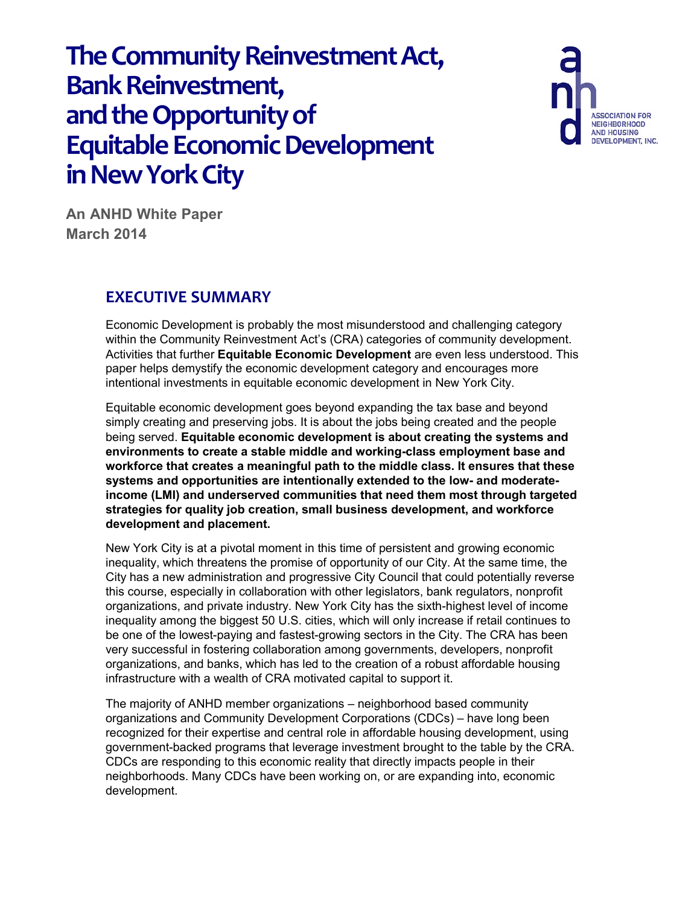**ASSOCIATION FOR NEIGHBORHOOD** AND HOUSING<br>DEVELOPMENT, INC.

**An ANHD White Paper March 2014**

# **EXECUTIVE SUMMARY**

Economic Development is probably the most misunderstood and challenging category within the Community Reinvestment Act's (CRA) categories of community development. Activities that further **Equitable Economic Development** are even less understood. This paper helps demystify the economic development category and encourages more intentional investments in equitable economic development in New York City.

Equitable economic development goes beyond expanding the tax base and beyond simply creating and preserving jobs. It is about the jobs being created and the people being served. **Equitable economic development is about creating the systems and environments to create a stable middle and working-class employment base and workforce that creates a meaningful path to the middle class. It ensures that these systems and opportunities are intentionally extended to the low- and moderateincome (LMI) and underserved communities that need them most through targeted strategies for quality job creation, small business development, and workforce development and placement.** 

New York City is at a pivotal moment in this time of persistent and growing economic inequality, which threatens the promise of opportunity of our City. At the same time, the City has a new administration and progressive City Council that could potentially reverse this course, especially in collaboration with other legislators, bank regulators, nonprofit organizations, and private industry. New York City has the sixth-highest level of income inequality among the biggest 50 U.S. cities, which will only increase if retail continues to be one of the lowest-paying and fastest-growing sectors in the City. The CRA has been very successful in fostering collaboration among governments, developers, nonprofit organizations, and banks, which has led to the creation of a robust affordable housing infrastructure with a wealth of CRA motivated capital to support it.

The majority of ANHD member organizations – neighborhood based community organizations and Community Development Corporations (CDCs) – have long been recognized for their expertise and central role in affordable housing development, using government-backed programs that leverage investment brought to the table by the CRA. CDCs are responding to this economic reality that directly impacts people in their neighborhoods. Many CDCs have been working on, or are expanding into, economic development.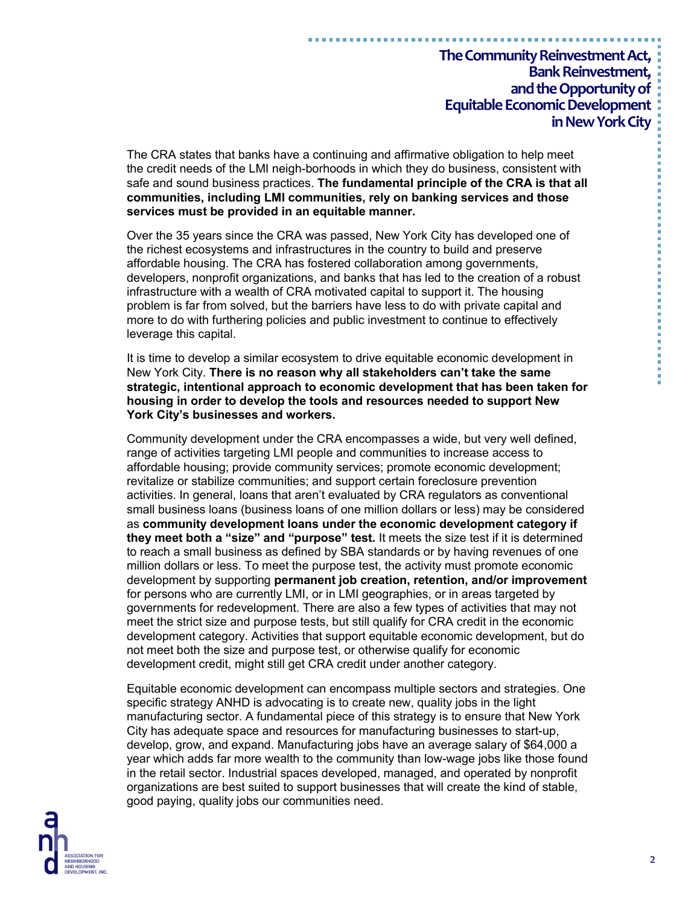The CRA states that banks have a continuing and affirmative obligation to help meet the credit needs of the LMI neigh-borhoods in which they do business, consistent with safe and sound business practices. **The fundamental principle of the CRA is that all communities, including LMI communities, rely on banking services and those services must be provided in an equitable manner.** 

Over the 35 years since the CRA was passed, New York City has developed one of the richest ecosystems and infrastructures in the country to build and preserve affordable housing. The CRA has fostered collaboration among governments, developers, nonprofit organizations, and banks that has led to the creation of a robust infrastructure with a wealth of CRA motivated capital to support it. The housing problem is far from solved, but the barriers have less to do with private capital and more to do with furthering policies and public investment to continue to effectively leverage this capital.

It is time to develop a similar ecosystem to drive equitable economic development in New York City. **There is no reason why all stakeholders can't take the same strategic, intentional approach to economic development that has been taken for housing in order to develop the tools and resources needed to support New York City's businesses and workers.** 

Community development under the CRA encompasses a wide, but very well defined, range of activities targeting LMI people and communities to increase access to affordable housing; provide community services; promote economic development; revitalize or stabilize communities; and support certain foreclosure prevention activities. In general, loans that aren't evaluated by CRA regulators as conventional small business loans (business loans of one million dollars or less) may be considered as **community development loans under the economic development category if they meet both a "size" and "purpose" test.** It meets the size test if it is determined to reach a small business as defined by SBA standards or by having revenues of one million dollars or less. To meet the purpose test, the activity must promote economic development by supporting **permanent job creation, retention, and/or improvement** for persons who are currently LMI, or in LMI geographies, or in areas targeted by governments for redevelopment. There are also a few types of activities that may not meet the strict size and purpose tests, but still qualify for CRA credit in the economic development category. Activities that support equitable economic development, but do not meet both the size and purpose test, or otherwise qualify for economic development credit, might still get CRA credit under another category.

Equitable economic development can encompass multiple sectors and strategies. One specific strategy ANHD is advocating is to create new, quality jobs in the light manufacturing sector. A fundamental piece of this strategy is to ensure that New York City has adequate space and resources for manufacturing businesses to start-up, develop, grow, and expand. Manufacturing jobs have an average salary of \$64,000 a year which adds far more wealth to the community than low-wage jobs like those found in the retail sector. Industrial spaces developed, managed, and operated by nonprofit organizations are best suited to support businesses that will create the kind of stable, good paying, quality jobs our communities need.

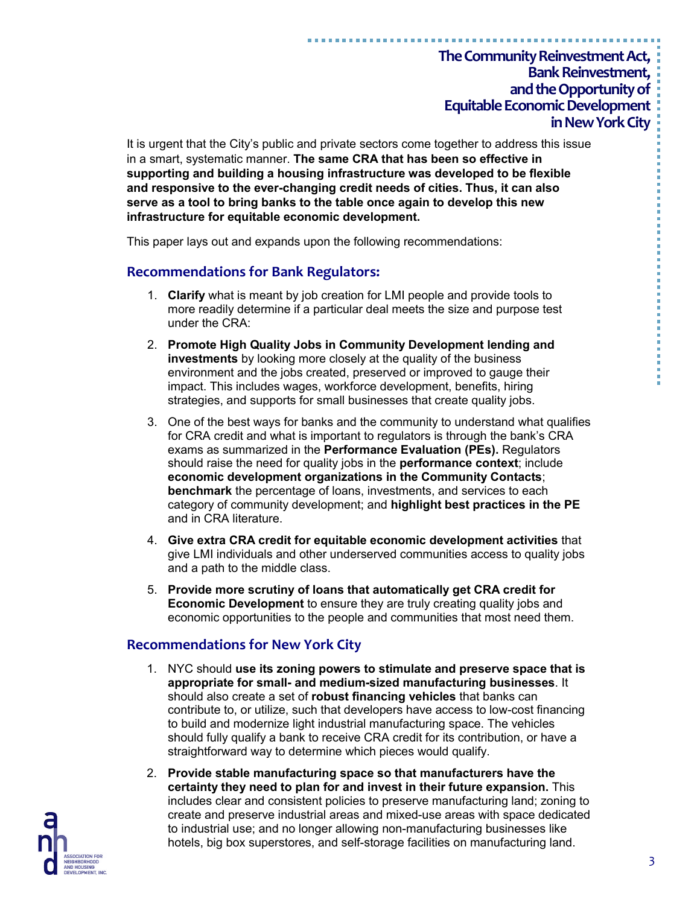It is urgent that the City's public and private sectors come together to address this issue in a smart, systematic manner. **The same CRA that has been so effective in supporting and building a housing infrastructure was developed to be flexible and responsive to the ever-changing credit needs of cities. Thus, it can also serve as a tool to bring banks to the table once again to develop this new infrastructure for equitable economic development.**

This paper lays out and expands upon the following recommendations:

#### **Recommendations for Bank Regulators:**

- 1. **Clarify** what is meant by job creation for LMI people and provide tools to more readily determine if a particular deal meets the size and purpose test under the CRA:
- 2. **Promote High Quality Jobs in Community Development lending and investments** by looking more closely at the quality of the business environment and the jobs created, preserved or improved to gauge their impact. This includes wages, workforce development, benefits, hiring strategies, and supports for small businesses that create quality jobs.
- 3. One of the best ways for banks and the community to understand what qualifies for CRA credit and what is important to regulators is through the bank's CRA exams as summarized in the **Performance Evaluation (PEs).** Regulators should raise the need for quality jobs in the **performance context**; include **economic development organizations in the Community Contacts**; **benchmark** the percentage of loans, investments, and services to each category of community development; and **highlight best practices in the PE**  and in CRA literature.
- 4. **Give extra CRA credit for equitable economic development activities** that give LMI individuals and other underserved communities access to quality jobs and a path to the middle class.
- 5. **Provide more scrutiny of loans that automatically get CRA credit for Economic Development** to ensure they are truly creating quality jobs and economic opportunities to the people and communities that most need them.

#### **Recommendations for New York City**

- 1. NYC should **use its zoning powers to stimulate and preserve space that is appropriate for small- and medium-sized manufacturing businesses**. It should also create a set of **robust financing vehicles** that banks can contribute to, or utilize, such that developers have access to low-cost financing to build and modernize light industrial manufacturing space. The vehicles should fully qualify a bank to receive CRA credit for its contribution, or have a straightforward way to determine which pieces would qualify.
- 2. **Provide stable manufacturing space so that manufacturers have the certainty they need to plan for and invest in their future expansion.** This includes clear and consistent policies to preserve manufacturing land; zoning to create and preserve industrial areas and mixed-use areas with space dedicated to industrial use; and no longer allowing non-manufacturing businesses like hotels, big box superstores, and self-storage facilities on manufacturing land.

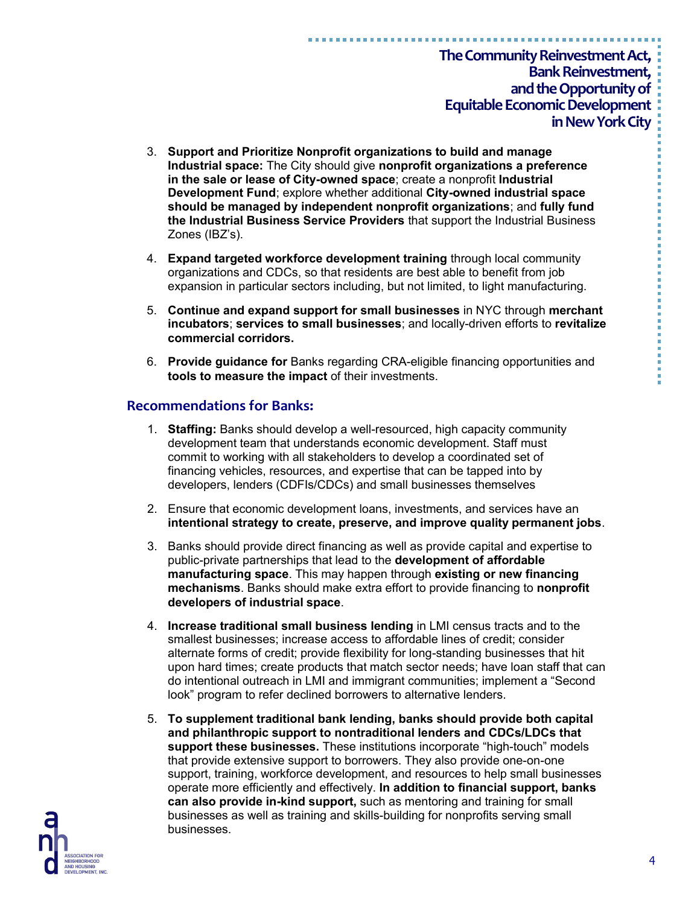- 3. **Support and Prioritize Nonprofit organizations to build and manage Industrial space:** The City should give **nonprofit organizations a preference in the sale or lease of City-owned space**; create a nonprofit **Industrial Development Fund**; explore whether additional **City-owned industrial space should be managed by independent nonprofit organizations**; and **fully fund the Industrial Business Service Providers** that support the Industrial Business Zones (IBZ's).
- 4. **Expand targeted workforce development training** through local community organizations and CDCs, so that residents are best able to benefit from job expansion in particular sectors including, but not limited, to light manufacturing.
- 5. **Continue and expand support for small businesses** in NYC through **merchant incubators**; **services to small businesses**; and locally-driven efforts to **revitalize commercial corridors.**
- 6. **Provide guidance for** Banks regarding CRA-eligible financing opportunities and **tools to measure the impact** of their investments.

#### **Recommendations for Banks:**

- 1. **Staffing:** Banks should develop a well-resourced, high capacity community development team that understands economic development. Staff must commit to working with all stakeholders to develop a coordinated set of financing vehicles, resources, and expertise that can be tapped into by developers, lenders (CDFIs/CDCs) and small businesses themselves
- 2. Ensure that economic development loans, investments, and services have an **intentional strategy to create, preserve, and improve quality permanent jobs**.
- 3. Banks should provide direct financing as well as provide capital and expertise to public-private partnerships that lead to the **development of affordable manufacturing space**. This may happen through **existing or new financing mechanisms**. Banks should make extra effort to provide financing to **nonprofit developers of industrial space**.
- 4. **Increase traditional small business lending** in LMI census tracts and to the smallest businesses; increase access to affordable lines of credit; consider alternate forms of credit; provide flexibility for long-standing businesses that hit upon hard times; create products that match sector needs; have loan staff that can do intentional outreach in LMI and immigrant communities; implement a "Second look" program to refer declined borrowers to alternative lenders.
- 5. **To supplement traditional bank lending, banks should provide both capital and philanthropic support to nontraditional lenders and CDCs/LDCs that support these businesses.** These institutions incorporate "high-touch" models that provide extensive support to borrowers. They also provide one-on-one support, training, workforce development, and resources to help small businesses operate more efficiently and effectively. **In addition to financial support, banks can also provide in-kind support,** such as mentoring and training for small businesses as well as training and skills-building for nonprofits serving small businesses.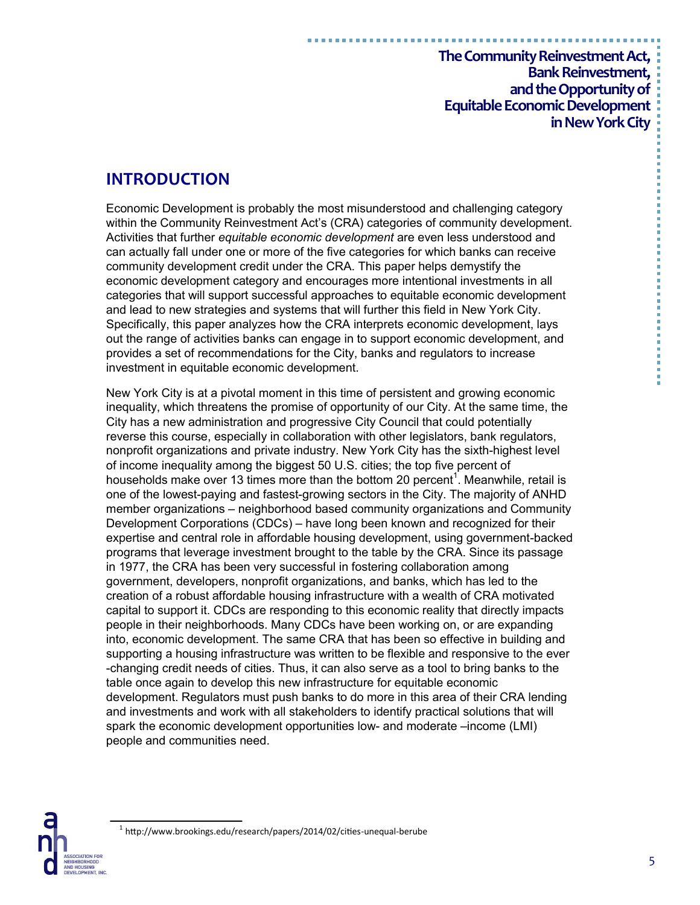# **INTRODUCTION**

Economic Development is probably the most misunderstood and challenging category within the Community Reinvestment Act's (CRA) categories of community development. Activities that further *equitable economic development* are even less understood and can actually fall under one or more of the five categories for which banks can receive community development credit under the CRA. This paper helps demystify the economic development category and encourages more intentional investments in all categories that will support successful approaches to equitable economic development and lead to new strategies and systems that will further this field in New York City. Specifically, this paper analyzes how the CRA interprets economic development, lays out the range of activities banks can engage in to support economic development, and provides a set of recommendations for the City, banks and regulators to increase investment in equitable economic development.

New York City is at a pivotal moment in this time of persistent and growing economic inequality, which threatens the promise of opportunity of our City. At the same time, the City has a new administration and progressive City Council that could potentially reverse this course, especially in collaboration with other legislators, bank regulators, nonprofit organizations and private industry. New York City has the sixth-highest level of income inequality among the biggest 50 U.S. cities; the top five percent of households make over 13 times more than the bottom 20 percent<sup>1</sup>. Meanwhile, retail is one of the lowest-paying and fastest-growing sectors in the City. The majority of ANHD member organizations – neighborhood based community organizations and Community Development Corporations (CDCs) – have long been known and recognized for their expertise and central role in affordable housing development, using government-backed programs that leverage investment brought to the table by the CRA. Since its passage in 1977, the CRA has been very successful in fostering collaboration among government, developers, nonprofit organizations, and banks, which has led to the creation of a robust affordable housing infrastructure with a wealth of CRA motivated capital to support it. CDCs are responding to this economic reality that directly impacts people in their neighborhoods. Many CDCs have been working on, or are expanding into, economic development. The same CRA that has been so effective in building and supporting a housing infrastructure was written to be flexible and responsive to the ever -changing credit needs of cities. Thus, it can also serve as a tool to bring banks to the table once again to develop this new infrastructure for equitable economic development. Regulators must push banks to do more in this area of their CRA lending and investments and work with all stakeholders to identify practical solutions that will spark the economic development opportunities low- and moderate –income (LMI) people and communities need.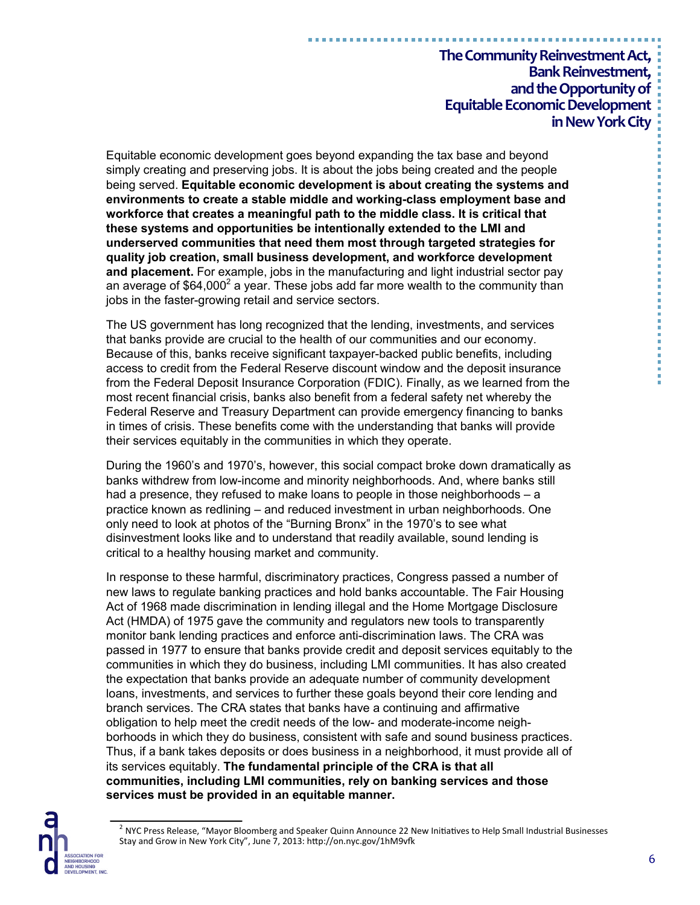Equitable economic development goes beyond expanding the tax base and beyond simply creating and preserving jobs. It is about the jobs being created and the people being served. **Equitable economic development is about creating the systems and environments to create a stable middle and working-class employment base and workforce that creates a meaningful path to the middle class. It is critical that these systems and opportunities be intentionally extended to the LMI and underserved communities that need them most through targeted strategies for quality job creation, small business development, and workforce development and placement.** For example, jobs in the manufacturing and light industrial sector pay an average of \$64,000 $^2$  a year. These jobs add far more wealth to the community than jobs in the faster-growing retail and service sectors.

The US government has long recognized that the lending, investments, and services that banks provide are crucial to the health of our communities and our economy. Because of this, banks receive significant taxpayer-backed public benefits, including access to credit from the Federal Reserve discount window and the deposit insurance from the Federal Deposit Insurance Corporation (FDIC). Finally, as we learned from the most recent financial crisis, banks also benefit from a federal safety net whereby the Federal Reserve and Treasury Department can provide emergency financing to banks in times of crisis. These benefits come with the understanding that banks will provide their services equitably in the communities in which they operate.

During the 1960's and 1970's, however, this social compact broke down dramatically as banks withdrew from low-income and minority neighborhoods. And, where banks still had a presence, they refused to make loans to people in those neighborhoods – a practice known as redlining – and reduced investment in urban neighborhoods. One only need to look at photos of the "Burning Bronx" in the 1970's to see what disinvestment looks like and to understand that readily available, sound lending is critical to a healthy housing market and community.

In response to these harmful, discriminatory practices, Congress passed a number of new laws to regulate banking practices and hold banks accountable. The Fair Housing Act of 1968 made discrimination in lending illegal and the Home Mortgage Disclosure Act (HMDA) of 1975 gave the community and regulators new tools to transparently monitor bank lending practices and enforce anti-discrimination laws. The CRA was passed in 1977 to ensure that banks provide credit and deposit services equitably to the communities in which they do business, including LMI communities. It has also created the expectation that banks provide an adequate number of community development loans, investments, and services to further these goals beyond their core lending and branch services. The CRA states that banks have a continuing and affirmative obligation to help meet the credit needs of the low- and moderate-income neighborhoods in which they do business, consistent with safe and sound business practices. Thus, if a bank takes deposits or does business in a neighborhood, it must provide all of its services equitably. **The fundamental principle of the CRA is that all communities, including LMI communities, rely on banking services and those services must be provided in an equitable manner.**



<sup>&</sup>lt;sup>2</sup> NYC Press Release, "Mayor Bloomberg and Speaker Quinn Announce 22 New Initiatives to Help Small Industrial Businesses Stay and Grow in New York City", June 7, 2013: http://on.nyc.gov/1hM9vfk

医皮肤性 医骨髓 医骨髓 医血清性 医血清性 医血清性 医血管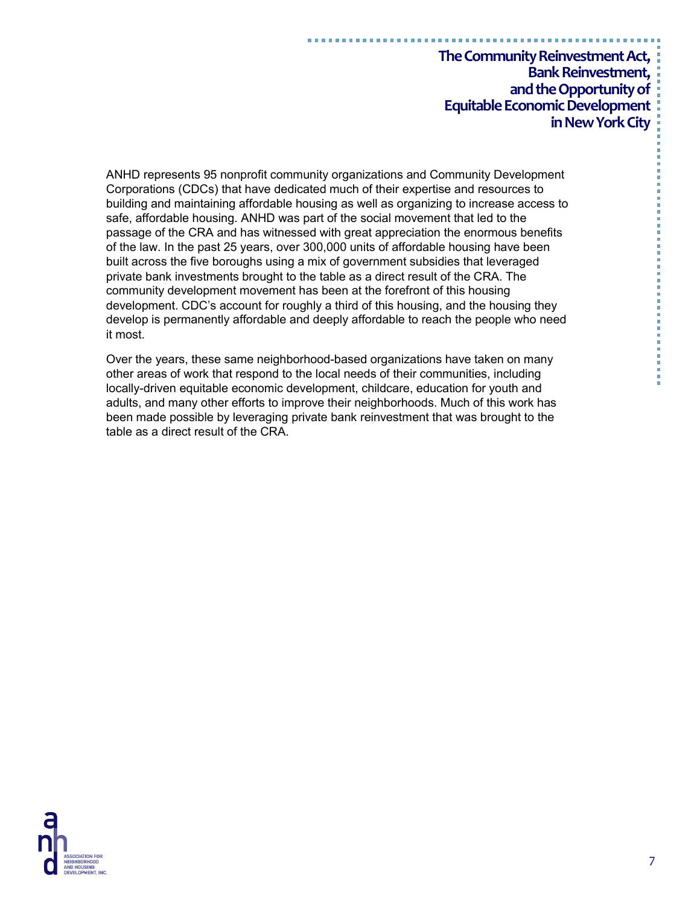ANHD represents 95 nonprofit community organizations and Community Development Corporations (CDCs) that have dedicated much of their expertise and resources to building and maintaining affordable housing as well as organizing to increase access to safe, affordable housing. ANHD was part of the social movement that led to the passage of the CRA and has witnessed with great appreciation the enormous benefits of the law. In the past 25 years, over 300,000 units of affordable housing have been built across the five boroughs using a mix of government subsidies that leveraged private bank investments brought to the table as a direct result of the CRA. The community development movement has been at the forefront of this housing development. CDC's account for roughly a third of this housing, and the housing they develop is permanently affordable and deeply affordable to reach the people who need it most.

Over the years, these same neighborhood-based organizations have taken on many other areas of work that respond to the local needs of their communities, including locally-driven equitable economic development, childcare, education for youth and adults, and many other efforts to improve their neighborhoods. Much of this work has been made possible by leveraging private bank reinvestment that was brought to the table as a direct result of the CRA.

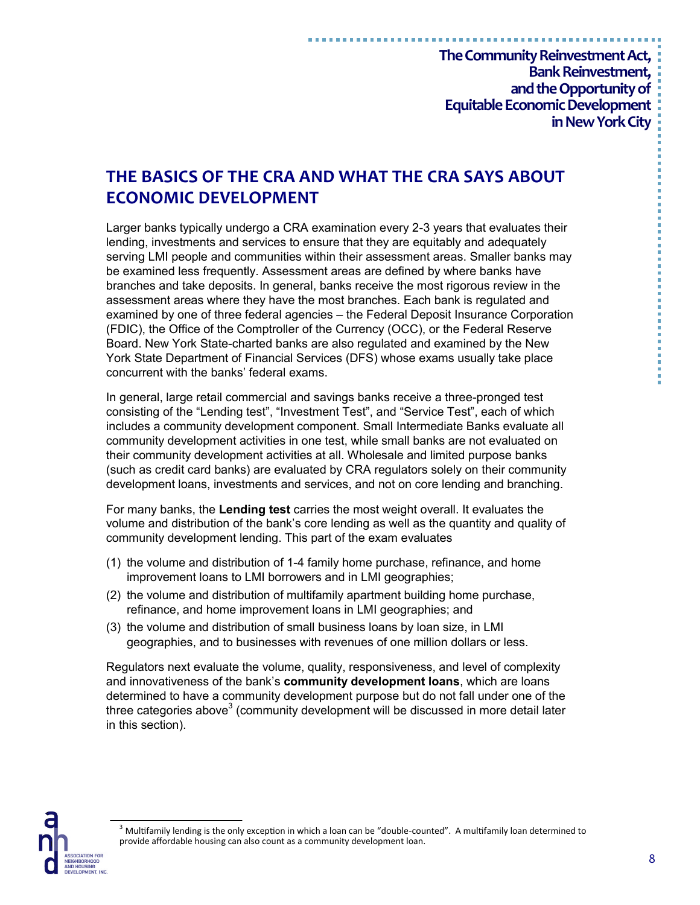# **THE BASICS OF THE CRA AND WHAT THE CRA SAYS ABOUT ECONOMIC DEVELOPMENT**

Larger banks typically undergo a CRA examination every 2-3 years that evaluates their lending, investments and services to ensure that they are equitably and adequately serving LMI people and communities within their assessment areas. Smaller banks may be examined less frequently. Assessment areas are defined by where banks have branches and take deposits. In general, banks receive the most rigorous review in the assessment areas where they have the most branches. Each bank is regulated and examined by one of three federal agencies – the Federal Deposit Insurance Corporation (FDIC), the Office of the Comptroller of the Currency (OCC), or the Federal Reserve Board. New York State-charted banks are also regulated and examined by the New York State Department of Financial Services (DFS) whose exams usually take place concurrent with the banks' federal exams.

In general, large retail commercial and savings banks receive a three-pronged test consisting of the "Lending test", "Investment Test", and "Service Test", each of which includes a community development component. Small Intermediate Banks evaluate all community development activities in one test, while small banks are not evaluated on their community development activities at all. Wholesale and limited purpose banks (such as credit card banks) are evaluated by CRA regulators solely on their community development loans, investments and services, and not on core lending and branching.

For many banks, the **Lending test** carries the most weight overall. It evaluates the volume and distribution of the bank's core lending as well as the quantity and quality of community development lending. This part of the exam evaluates

- (1) the volume and distribution of 1-4 family home purchase, refinance, and home improvement loans to LMI borrowers and in LMI geographies;
- (2) the volume and distribution of multifamily apartment building home purchase, refinance, and home improvement loans in LMI geographies; and
- (3) the volume and distribution of small business loans by loan size, in LMI geographies, and to businesses with revenues of one million dollars or less.

Regulators next evaluate the volume, quality, responsiveness, and level of complexity and innovativeness of the bank's **community development loans**, which are loans determined to have a community development purpose but do not fall under one of the three categories above<sup>3</sup> (community development will be discussed in more detail later in this section).

医皮肤性 医血管性 医血管性 医血管性 医血管性血管炎

 $3$  Multifamily lending is the only exception in which a loan can be "double-counted". A multifamily loan determined to provide affordable housing can also count as a community development loan.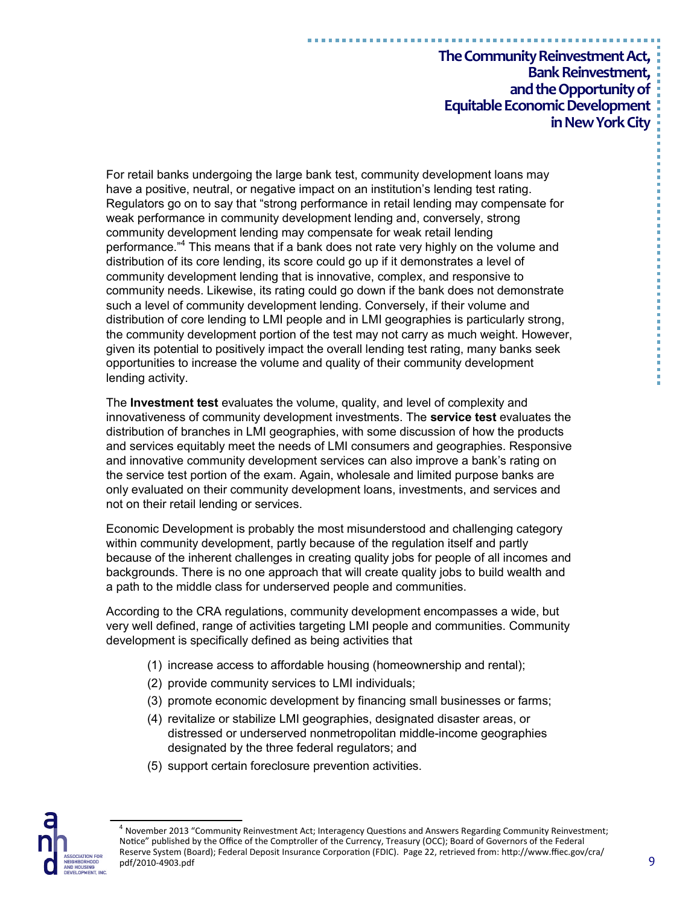For retail banks undergoing the large bank test, community development loans may have a positive, neutral, or negative impact on an institution's lending test rating. Regulators go on to say that "strong performance in retail lending may compensate for weak performance in community development lending and, conversely, strong community development lending may compensate for weak retail lending performance."<sup>4</sup> This means that if a bank does not rate very highly on the volume and distribution of its core lending, its score could go up if it demonstrates a level of community development lending that is innovative, complex, and responsive to community needs. Likewise, its rating could go down if the bank does not demonstrate such a level of community development lending. Conversely, if their volume and distribution of core lending to LMI people and in LMI geographies is particularly strong, the community development portion of the test may not carry as much weight. However, given its potential to positively impact the overall lending test rating, many banks seek opportunities to increase the volume and quality of their community development lending activity.

The **Investment test** evaluates the volume, quality, and level of complexity and innovativeness of community development investments. The **service test** evaluates the distribution of branches in LMI geographies, with some discussion of how the products and services equitably meet the needs of LMI consumers and geographies. Responsive and innovative community development services can also improve a bank's rating on the service test portion of the exam. Again, wholesale and limited purpose banks are only evaluated on their community development loans, investments, and services and not on their retail lending or services.

Economic Development is probably the most misunderstood and challenging category within community development, partly because of the regulation itself and partly because of the inherent challenges in creating quality jobs for people of all incomes and backgrounds. There is no one approach that will create quality jobs to build wealth and a path to the middle class for underserved people and communities.

According to the CRA regulations, community development encompasses a wide, but very well defined, range of activities targeting LMI people and communities. Community development is specifically defined as being activities that

- (1) increase access to affordable housing (homeownership and rental);
- (2) provide community services to LMI individuals;
- (3) promote economic development by financing small businesses or farms;
- (4) revitalize or stabilize LMI geographies, designated disaster areas, or distressed or underserved nonmetropolitan middle-income geographies designated by the three federal regulators; and
- (5) support certain foreclosure prevention activities.



<sup>&</sup>lt;sup>4</sup> November 2013 "Community Reinvestment Act; Interagency Questions and Answers Regarding Community Reinvestment; Notice" published by the Office of the Comptroller of the Currency, Treasury (OCC); Board of Governors of the Federal Reserve System (Board); Federal Deposit Insurance Corporation (FDIC). Page 22, retrieved from: http://www.ffiec.gov/cra/ pdf/2010-4903.pdf

----------------------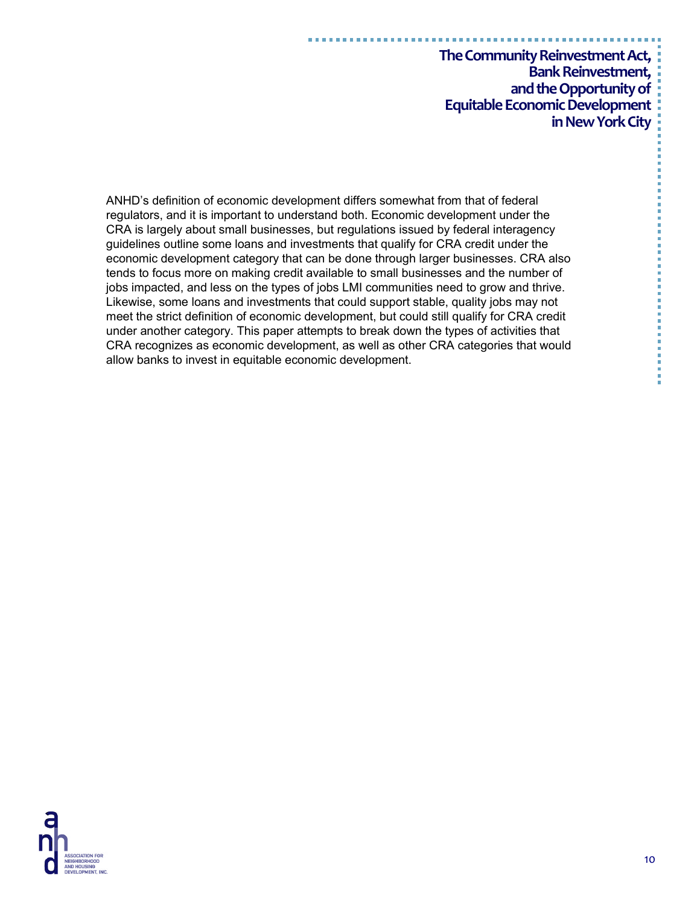ANHD's definition of economic development differs somewhat from that of federal regulators, and it is important to understand both. Economic development under the CRA is largely about small businesses, but regulations issued by federal interagency guidelines outline some loans and investments that qualify for CRA credit under the economic development category that can be done through larger businesses. CRA also tends to focus more on making credit available to small businesses and the number of jobs impacted, and less on the types of jobs LMI communities need to grow and thrive. Likewise, some loans and investments that could support stable, quality jobs may not meet the strict definition of economic development, but could still qualify for CRA credit under another category. This paper attempts to break down the types of activities that CRA recognizes as economic development, as well as other CRA categories that would allow banks to invest in equitable economic development.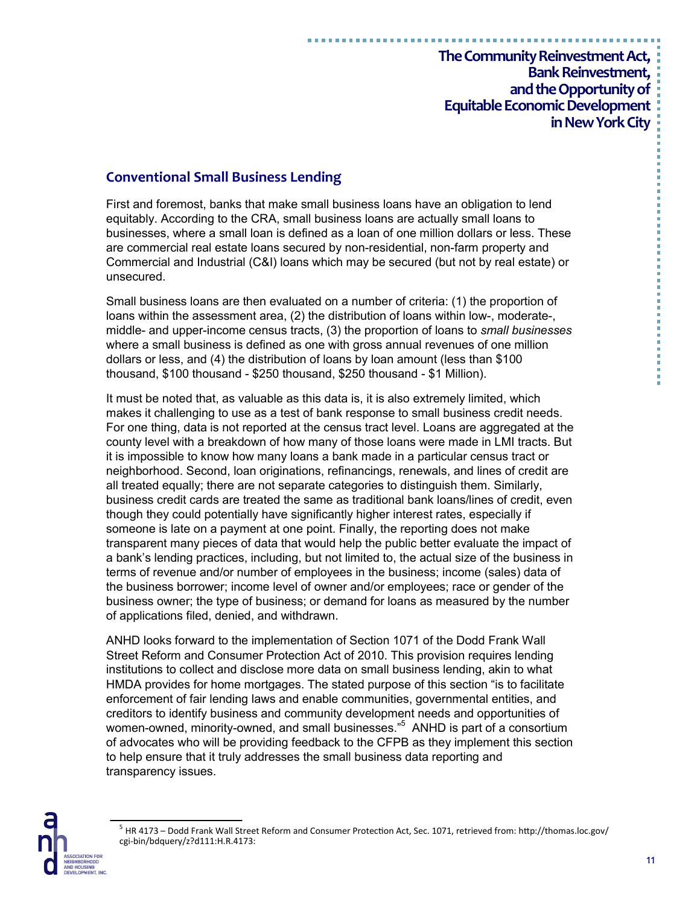### **Conventional Small Business Lending**

First and foremost, banks that make small business loans have an obligation to lend equitably. According to the CRA, small business loans are actually small loans to businesses, where a small loan is defined as a loan of one million dollars or less. These are commercial real estate loans secured by non-residential, non-farm property and Commercial and Industrial (C&I) loans which may be secured (but not by real estate) or unsecured.

Small business loans are then evaluated on a number of criteria: (1) the proportion of loans within the assessment area, (2) the distribution of loans within low-, moderate-, middle- and upper-income census tracts, (3) the proportion of loans to *small businesses* where a small business is defined as one with gross annual revenues of one million dollars or less, and (4) the distribution of loans by loan amount (less than \$100 thousand, \$100 thousand - \$250 thousand, \$250 thousand - \$1 Million).

It must be noted that, as valuable as this data is, it is also extremely limited, which makes it challenging to use as a test of bank response to small business credit needs. For one thing, data is not reported at the census tract level. Loans are aggregated at the county level with a breakdown of how many of those loans were made in LMI tracts. But it is impossible to know how many loans a bank made in a particular census tract or neighborhood. Second, loan originations, refinancings, renewals, and lines of credit are all treated equally; there are not separate categories to distinguish them. Similarly, business credit cards are treated the same as traditional bank loans/lines of credit, even though they could potentially have significantly higher interest rates, especially if someone is late on a payment at one point. Finally, the reporting does not make transparent many pieces of data that would help the public better evaluate the impact of a bank's lending practices, including, but not limited to, the actual size of the business in terms of revenue and/or number of employees in the business; income (sales) data of the business borrower; income level of owner and/or employees; race or gender of the business owner; the type of business; or demand for loans as measured by the number of applications filed, denied, and withdrawn.

ANHD looks forward to the implementation of Section 1071 of the Dodd Frank Wall Street Reform and Consumer Protection Act of 2010. This provision requires lending institutions to collect and disclose more data on small business lending, akin to what HMDA provides for home mortgages. The stated purpose of this section "is to facilitate enforcement of fair lending laws and enable communities, governmental entities, and creditors to identify business and community development needs and opportunities of women-owned, minority-owned, and small businesses."<sup>5</sup> ANHD is part of a consortium of advocates who will be providing feedback to the CFPB as they implement this section to help ensure that it truly addresses the small business data reporting and transparency issues.



<sup>&</sup>lt;sup>5</sup> HR 4173 – Dodd Frank Wall Street Reform and Consumer Protection Act, Sec. 1071, retrieved from: http://thomas.loc.gov/ cgi-bin/bdquery/z?d111:H.R.4173: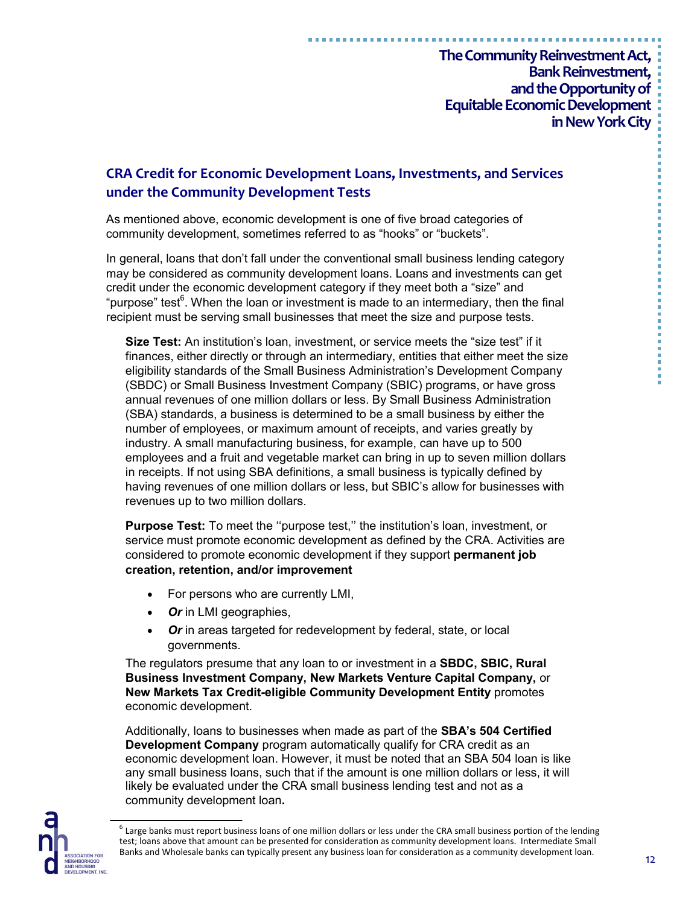# **CRA Credit for Economic Development Loans, Investments, and Services under the Community Development Tests**

As mentioned above, economic development is one of five broad categories of community development, sometimes referred to as "hooks" or "buckets".

In general, loans that don't fall under the conventional small business lending category may be considered as community development loans. Loans and investments can get credit under the economic development category if they meet both a "size" and "purpose" test<sup>6</sup>. When the loan or investment is made to an intermediary, then the final recipient must be serving small businesses that meet the size and purpose tests.

**Size Test:** An institution's loan, investment, or service meets the "size test" if it finances, either directly or through an intermediary, entities that either meet the size eligibility standards of the Small Business Administration's Development Company (SBDC) or Small Business Investment Company (SBIC) programs, or have gross annual revenues of one million dollars or less. By Small Business Administration (SBA) standards, a business is determined to be a small business by either the number of employees, or maximum amount of receipts, and varies greatly by industry. A small manufacturing business, for example, can have up to 500 employees and a fruit and vegetable market can bring in up to seven million dollars in receipts. If not using SBA definitions, a small business is typically defined by having revenues of one million dollars or less, but SBIC's allow for businesses with revenues up to two million dollars.

**Purpose Test:** To meet the ''purpose test,'' the institution's loan, investment, or service must promote economic development as defined by the CRA. Activities are considered to promote economic development if they support **permanent job creation, retention, and/or improvement**

- For persons who are currently LMI,
- *Or* in LMI geographies,
- *Or* in areas targeted for redevelopment by federal, state, or local governments.

The regulators presume that any loan to or investment in a **SBDC, SBIC, Rural Business Investment Company, New Markets Venture Capital Company,** or **New Markets Tax Credit-eligible Community Development Entity** promotes economic development.

Additionally, loans to businesses when made as part of the **SBA's 504 Certified Development Company** program automatically qualify for CRA credit as an economic development loan. However, it must be noted that an SBA 504 loan is like any small business loans, such that if the amount is one million dollars or less, it will likely be evaluated under the CRA small business lending test and not as a community development loan**.**



 $^6$  Large banks must report business loans of one million dollars or less under the CRA small business portion of the lending test; loans above that amount can be presented for consideration as community development loans. Intermediate Small Banks and Wholesale banks can typically present any business loan for consideration as a community development loan.

医胃炎 医胃炎 医血管下垂 医血管下垂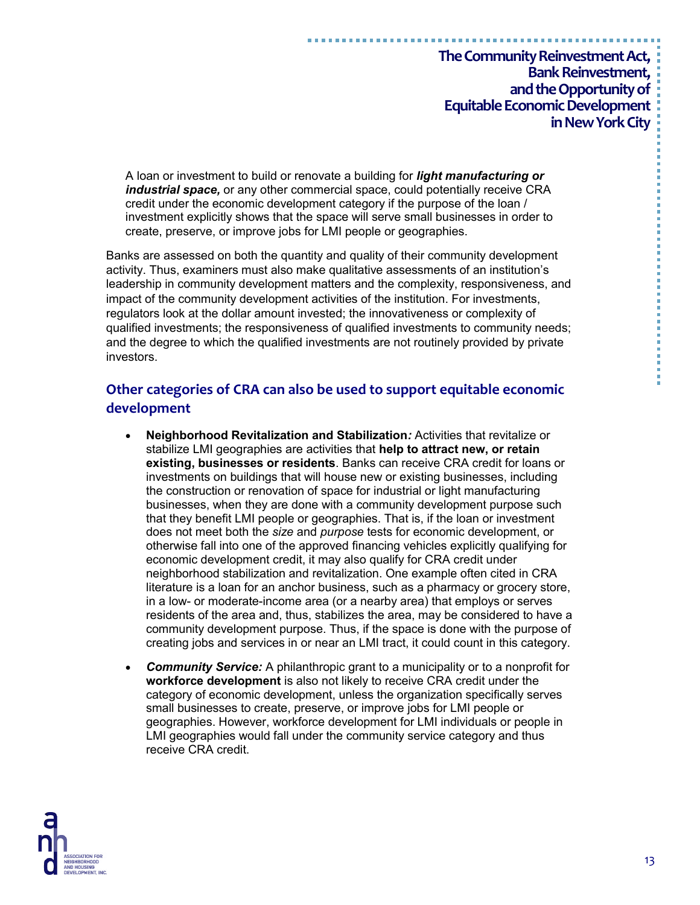A loan or investment to build or renovate a building for *light manufacturing or industrial space,* or any other commercial space, could potentially receive CRA credit under the economic development category if the purpose of the loan / investment explicitly shows that the space will serve small businesses in order to create, preserve, or improve jobs for LMI people or geographies.

Banks are assessed on both the quantity and quality of their community development activity. Thus, examiners must also make qualitative assessments of an institution's leadership in community development matters and the complexity, responsiveness, and impact of the community development activities of the institution. For investments, regulators look at the dollar amount invested; the innovativeness or complexity of qualified investments; the responsiveness of qualified investments to community needs; and the degree to which the qualified investments are not routinely provided by private investors.

# **Other categories of CRA can also be used to support equitable economic development**

- **Neighborhood Revitalization and Stabilization***:* Activities that revitalize or stabilize LMI geographies are activities that **help to attract new, or retain existing, businesses or residents**. Banks can receive CRA credit for loans or investments on buildings that will house new or existing businesses, including the construction or renovation of space for industrial or light manufacturing businesses, when they are done with a community development purpose such that they benefit LMI people or geographies. That is, if the loan or investment does not meet both the *size* and *purpose* tests for economic development, or otherwise fall into one of the approved financing vehicles explicitly qualifying for economic development credit, it may also qualify for CRA credit under neighborhood stabilization and revitalization. One example often cited in CRA literature is a loan for an anchor business, such as a pharmacy or grocery store, in a low- or moderate-income area (or a nearby area) that employs or serves residents of the area and, thus, stabilizes the area, may be considered to have a community development purpose. Thus, if the space is done with the purpose of creating jobs and services in or near an LMI tract, it could count in this category.
- *Community Service:* A philanthropic grant to a municipality or to a nonprofit for **workforce development** is also not likely to receive CRA credit under the category of economic development, unless the organization specifically serves small businesses to create, preserve, or improve jobs for LMI people or geographies. However, workforce development for LMI individuals or people in LMI geographies would fall under the community service category and thus receive CRA credit.



----------------------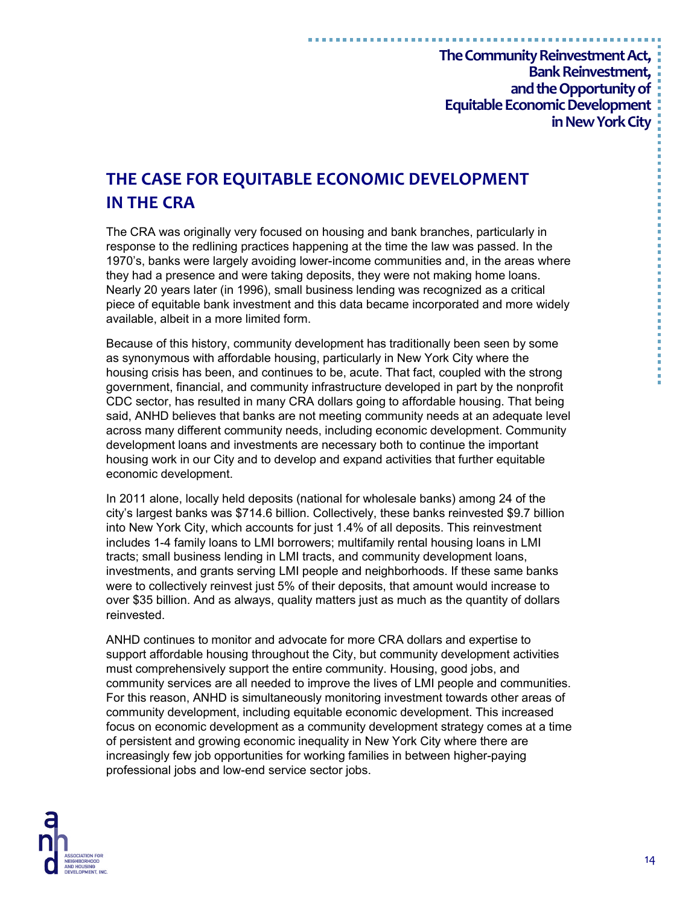# **THE CASE FOR EQUITABLE ECONOMIC DEVELOPMENT IN THE CRA**

The CRA was originally very focused on housing and bank branches, particularly in response to the redlining practices happening at the time the law was passed. In the 1970's, banks were largely avoiding lower-income communities and, in the areas where they had a presence and were taking deposits, they were not making home loans. Nearly 20 years later (in 1996), small business lending was recognized as a critical piece of equitable bank investment and this data became incorporated and more widely available, albeit in a more limited form.

Because of this history, community development has traditionally been seen by some as synonymous with affordable housing, particularly in New York City where the housing crisis has been, and continues to be, acute. That fact, coupled with the strong government, financial, and community infrastructure developed in part by the nonprofit CDC sector, has resulted in many CRA dollars going to affordable housing. That being said, ANHD believes that banks are not meeting community needs at an adequate level across many different community needs, including economic development. Community development loans and investments are necessary both to continue the important housing work in our City and to develop and expand activities that further equitable economic development.

In 2011 alone, locally held deposits (national for wholesale banks) among 24 of the city's largest banks was \$714.6 billion. Collectively, these banks reinvested \$9.7 billion into New York City, which accounts for just 1.4% of all deposits. This reinvestment includes 1-4 family loans to LMI borrowers; multifamily rental housing loans in LMI tracts; small business lending in LMI tracts, and community development loans, investments, and grants serving LMI people and neighborhoods. If these same banks were to collectively reinvest just 5% of their deposits, that amount would increase to over \$35 billion. And as always, quality matters just as much as the quantity of dollars reinvested.

ANHD continues to monitor and advocate for more CRA dollars and expertise to support affordable housing throughout the City, but community development activities must comprehensively support the entire community. Housing, good jobs, and community services are all needed to improve the lives of LMI people and communities. For this reason, ANHD is simultaneously monitoring investment towards other areas of community development, including equitable economic development. This increased focus on economic development as a community development strategy comes at a time of persistent and growing economic inequality in New York City where there are increasingly few job opportunities for working families in between higher-paying professional jobs and low-end service sector jobs.



14

医皮肤性 医骨髓性 医皮肤性 医单位 医血清性 医血清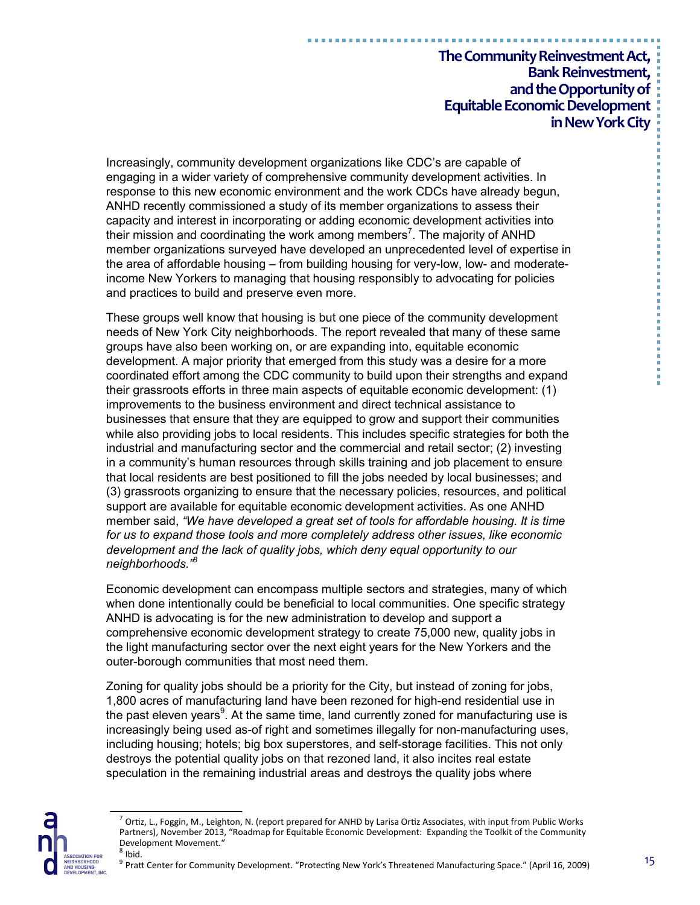Increasingly, community development organizations like CDC's are capable of engaging in a wider variety of comprehensive community development activities. In response to this new economic environment and the work CDCs have already begun, ANHD recently commissioned a study of its member organizations to assess their capacity and interest in incorporating or adding economic development activities into their mission and coordinating the work among members<sup>7</sup>. The majority of ANHD member organizations surveyed have developed an unprecedented level of expertise in the area of affordable housing – from building housing for very-low, low- and moderateincome New Yorkers to managing that housing responsibly to advocating for policies and practices to build and preserve even more.

These groups well know that housing is but one piece of the community development needs of New York City neighborhoods. The report revealed that many of these same groups have also been working on, or are expanding into, equitable economic development. A major priority that emerged from this study was a desire for a more coordinated effort among the CDC community to build upon their strengths and expand their grassroots efforts in three main aspects of equitable economic development: (1) improvements to the business environment and direct technical assistance to businesses that ensure that they are equipped to grow and support their communities while also providing jobs to local residents. This includes specific strategies for both the industrial and manufacturing sector and the commercial and retail sector; (2) investing in a community's human resources through skills training and job placement to ensure that local residents are best positioned to fill the jobs needed by local businesses; and (3) grassroots organizing to ensure that the necessary policies, resources, and political support are available for equitable economic development activities. As one ANHD member said, *"We have developed a great set of tools for affordable housing. It is time for us to expand those tools and more completely address other issues, like economic development and the lack of quality jobs, which deny equal opportunity to our neighborhoods."<sup>8</sup>*

Economic development can encompass multiple sectors and strategies, many of which when done intentionally could be beneficial to local communities. One specific strategy ANHD is advocating is for the new administration to develop and support a comprehensive economic development strategy to create 75,000 new, quality jobs in the light manufacturing sector over the next eight years for the New Yorkers and the outer-borough communities that most need them.

Zoning for quality jobs should be a priority for the City, but instead of zoning for jobs, 1,800 acres of manufacturing land have been rezoned for high-end residential use in the past eleven years $9$ . At the same time, land currently zoned for manufacturing use is increasingly being used as-of right and sometimes illegally for non-manufacturing uses, including housing; hotels; big box superstores, and self-storage facilities. This not only destroys the potential quality jobs on that rezoned land, it also incites real estate speculation in the remaining industrial areas and destroys the quality jobs where

-----------------------------------

 $^7$  Ortiz, L., Foggin, M., Leighton, N. (report prepared for ANHD by Larisa Ortiz Associates, with input from Public Works Partners), November 2013, "Roadmap for Equitable Economic Development: Expanding the Toolkit of the Community Development Movement."  $<sup>8</sup>$  Ibid.</sup>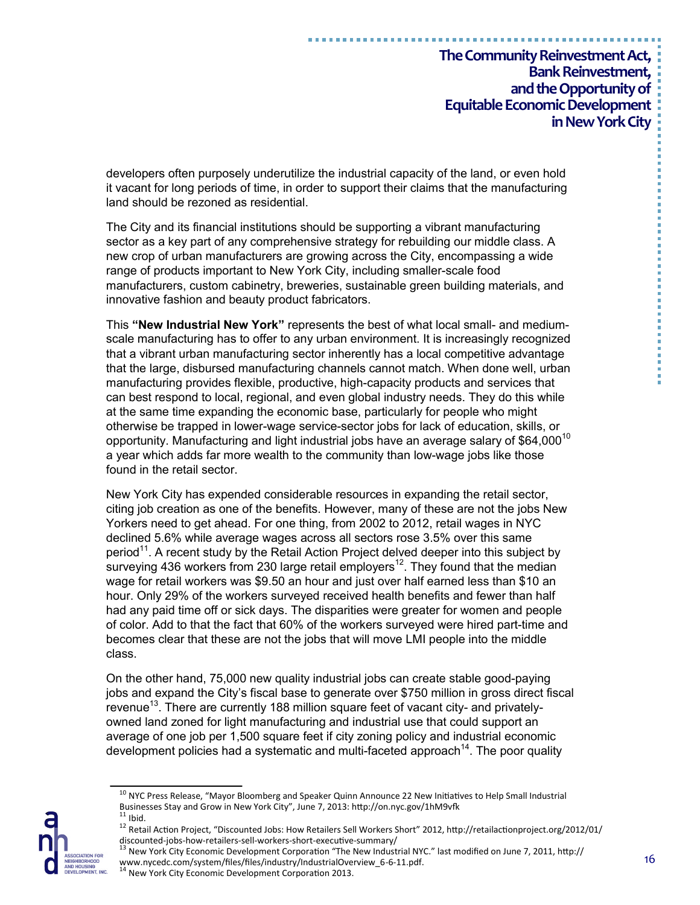developers often purposely underutilize the industrial capacity of the land, or even hold it vacant for long periods of time, in order to support their claims that the manufacturing land should be rezoned as residential.

The City and its financial institutions should be supporting a vibrant manufacturing sector as a key part of any comprehensive strategy for rebuilding our middle class. A new crop of urban manufacturers are growing across the City, encompassing a wide range of products important to New York City, including smaller-scale food manufacturers, custom cabinetry, breweries, sustainable green building materials, and innovative fashion and beauty product fabricators.

This **"New Industrial New York"** represents the best of what local small- and mediumscale manufacturing has to offer to any urban environment. It is increasingly recognized that a vibrant urban manufacturing sector inherently has a local competitive advantage that the large, disbursed manufacturing channels cannot match. When done well, urban manufacturing provides flexible, productive, high-capacity products and services that can best respond to local, regional, and even global industry needs. They do this while at the same time expanding the economic base, particularly for people who might otherwise be trapped in lower-wage service-sector jobs for lack of education, skills, or opportunity. Manufacturing and light industrial jobs have an average salary of \$64.000<sup>10</sup> a year which adds far more wealth to the community than low-wage jobs like those found in the retail sector.

New York City has expended considerable resources in expanding the retail sector, citing job creation as one of the benefits. However, many of these are not the jobs New Yorkers need to get ahead. For one thing, from 2002 to 2012, retail wages in NYC declined 5.6% while average wages across all sectors rose 3.5% over this same period<sup>11</sup>. A recent study by the Retail Action Project delved deeper into this subject by surveying 436 workers from 230 large retail employers<sup>12</sup>. They found that the median wage for retail workers was \$9.50 an hour and just over half earned less than \$10 an hour. Only 29% of the workers surveyed received health benefits and fewer than half had any paid time off or sick days. The disparities were greater for women and people of color. Add to that the fact that 60% of the workers surveyed were hired part-time and becomes clear that these are not the jobs that will move LMI people into the middle class.

On the other hand, 75,000 new quality industrial jobs can create stable good-paying jobs and expand the City's fiscal base to generate over \$750 million in gross direct fiscal revenue<sup>13</sup>. There are currently 188 million square feet of vacant city- and privatelyowned land zoned for light manufacturing and industrial use that could support an average of one job per 1,500 square feet if city zoning policy and industrial economic development policies had a systematic and multi-faceted approach<sup>14</sup>. The poor quality

"我不是我的事情,我不是我的事情,我不是我的事情,我不是我的事情。"

<sup>&</sup>lt;sup>10</sup> NYC Press Release, "Mayor Bloomberg and Speaker Quinn Announce 22 New Initiatives to Help Small Industrial Businesses Stay and Grow in New York City", June 7, 2013: http://on.nyc.gov/1hM9vfk  $11$  Ibid.

<sup>12</sup> Retail Action Project, "Discounted Jobs: How Retailers Sell Workers Short" 2012, http://retailactionproject.org/2012/01/ discounted-jobs-how-retailers-sell-workers-short-executive-summary/

 $^{13}$  New York City Economic Development Corporation "The New Industrial NYC." last modified on June 7, 2011, http:// www.nycedc.com/system/files/files/industry/IndustrialOverview\_6-6-11.pdf.<br><sup>14</sup> New York City Economic Development Corporation 2013.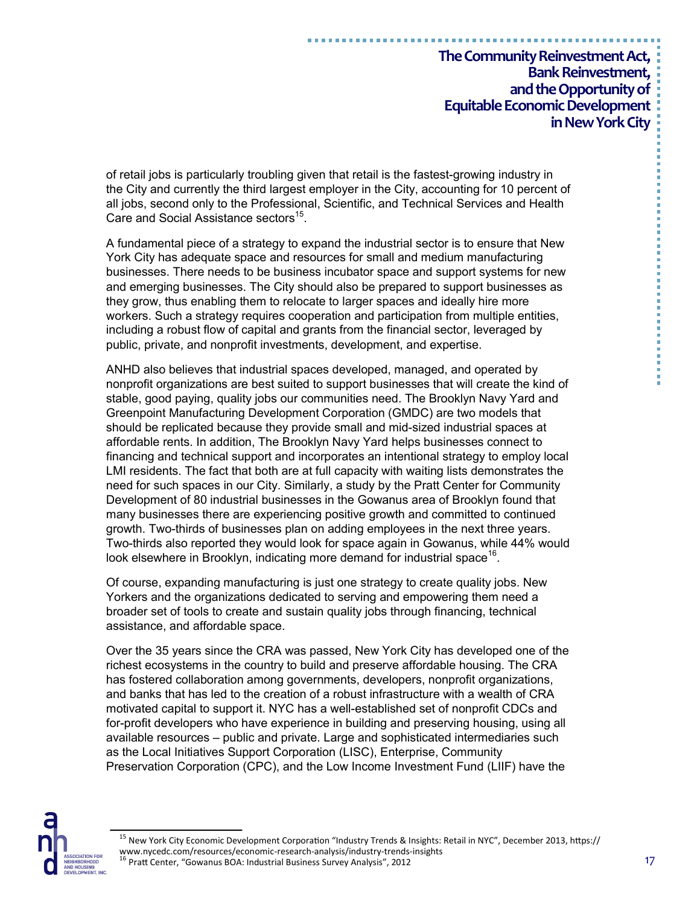of retail jobs is particularly troubling given that retail is the fastest-growing industry in the City and currently the third largest employer in the City, accounting for 10 percent of all jobs, second only to the Professional, Scientific, and Technical Services and Health Care and Social Assistance sectors<sup>15</sup>.

A fundamental piece of a strategy to expand the industrial sector is to ensure that New York City has adequate space and resources for small and medium manufacturing businesses. There needs to be business incubator space and support systems for new and emerging businesses. The City should also be prepared to support businesses as they grow, thus enabling them to relocate to larger spaces and ideally hire more workers. Such a strategy requires cooperation and participation from multiple entities, including a robust flow of capital and grants from the financial sector, leveraged by public, private, and nonprofit investments, development, and expertise.

ANHD also believes that industrial spaces developed, managed, and operated by nonprofit organizations are best suited to support businesses that will create the kind of stable, good paying, quality jobs our communities need. The Brooklyn Navy Yard and Greenpoint Manufacturing Development Corporation (GMDC) are two models that should be replicated because they provide small and mid-sized industrial spaces at affordable rents. In addition, The Brooklyn Navy Yard helps businesses connect to financing and technical support and incorporates an intentional strategy to employ local LMI residents. The fact that both are at full capacity with waiting lists demonstrates the need for such spaces in our City. Similarly, a study by the Pratt Center for Community Development of 80 industrial businesses in the Gowanus area of Brooklyn found that many businesses there are experiencing positive growth and committed to continued growth. Two-thirds of businesses plan on adding employees in the next three years. Two-thirds also reported they would look for space again in Gowanus, while 44% would look elsewhere in Brooklyn, indicating more demand for industrial space<sup>16</sup>.

Of course, expanding manufacturing is just one strategy to create quality jobs. New Yorkers and the organizations dedicated to serving and empowering them need a broader set of tools to create and sustain quality jobs through financing, technical assistance, and affordable space.

Over the 35 years since the CRA was passed, New York City has developed one of the richest ecosystems in the country to build and preserve affordable housing. The CRA has fostered collaboration among governments, developers, nonprofit organizations, and banks that has led to the creation of a robust infrastructure with a wealth of CRA motivated capital to support it. NYC has a well-established set of nonprofit CDCs and for-profit developers who have experience in building and preserving housing, using all available resources – public and private. Large and sophisticated intermediaries such as the Local Initiatives Support Corporation (LISC), Enterprise, Community Preservation Corporation (CPC), and the Low Income Investment Fund (LIIF) have the



<sup>&</sup>lt;sup>15</sup> New York City Economic Development Corporation "Industry Trends & Insights: Retail in NYC", December 2013, https:// www.nycedc.com/resources/economic-research-analysis/industry-trends-insights<br><sup>16</sup> Pratt Center, "Gowanus BOA: Industrial Business Survey Analysis", 2012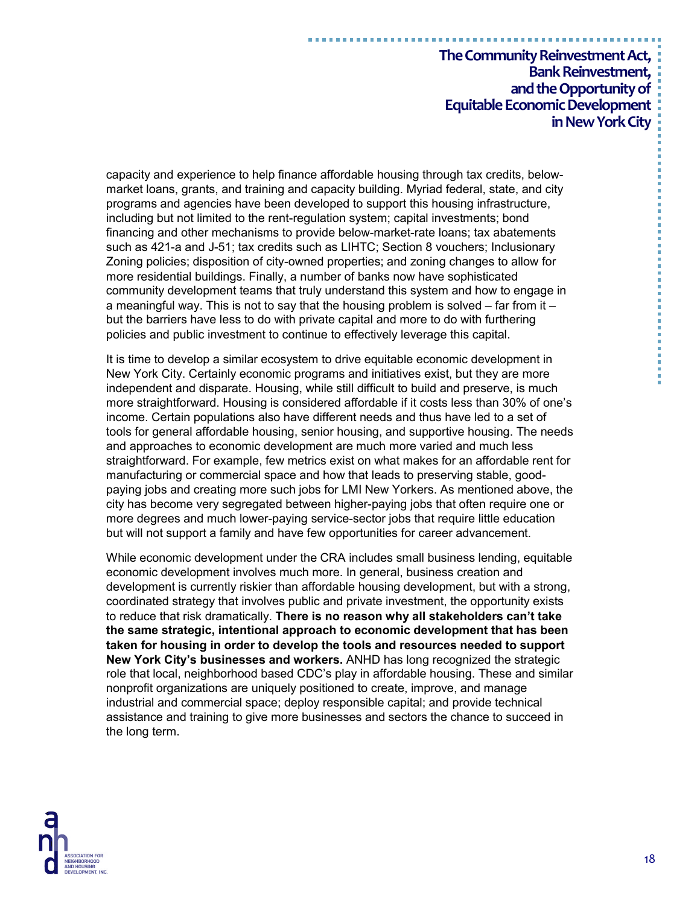capacity and experience to help finance affordable housing through tax credits, belowmarket loans, grants, and training and capacity building. Myriad federal, state, and city programs and agencies have been developed to support this housing infrastructure, including but not limited to the rent-regulation system; capital investments; bond financing and other mechanisms to provide below-market-rate loans; tax abatements such as 421-a and J-51; tax credits such as LIHTC; Section 8 vouchers; Inclusionary Zoning policies; disposition of city-owned properties; and zoning changes to allow for more residential buildings. Finally, a number of banks now have sophisticated community development teams that truly understand this system and how to engage in a meaningful way. This is not to say that the housing problem is solved  $-$  far from it  $$ but the barriers have less to do with private capital and more to do with furthering policies and public investment to continue to effectively leverage this capital.

It is time to develop a similar ecosystem to drive equitable economic development in New York City. Certainly economic programs and initiatives exist, but they are more independent and disparate. Housing, while still difficult to build and preserve, is much more straightforward. Housing is considered affordable if it costs less than 30% of one's income. Certain populations also have different needs and thus have led to a set of tools for general affordable housing, senior housing, and supportive housing. The needs and approaches to economic development are much more varied and much less straightforward. For example, few metrics exist on what makes for an affordable rent for manufacturing or commercial space and how that leads to preserving stable, goodpaying jobs and creating more such jobs for LMI New Yorkers. As mentioned above, the city has become very segregated between higher-paying jobs that often require one or more degrees and much lower-paying service-sector jobs that require little education but will not support a family and have few opportunities for career advancement.

While economic development under the CRA includes small business lending, equitable economic development involves much more. In general, business creation and development is currently riskier than affordable housing development, but with a strong, coordinated strategy that involves public and private investment, the opportunity exists to reduce that risk dramatically. **There is no reason why all stakeholders can't take the same strategic, intentional approach to economic development that has been taken for housing in order to develop the tools and resources needed to support New York City's businesses and workers.** ANHD has long recognized the strategic role that local, neighborhood based CDC's play in affordable housing. These and similar nonprofit organizations are uniquely positioned to create, improve, and manage industrial and commercial space; deploy responsible capital; and provide technical assistance and training to give more businesses and sectors the chance to succeed in the long term.



医皮肤性 医骨髓性 医皮肤性 医单位 医血清性 医血清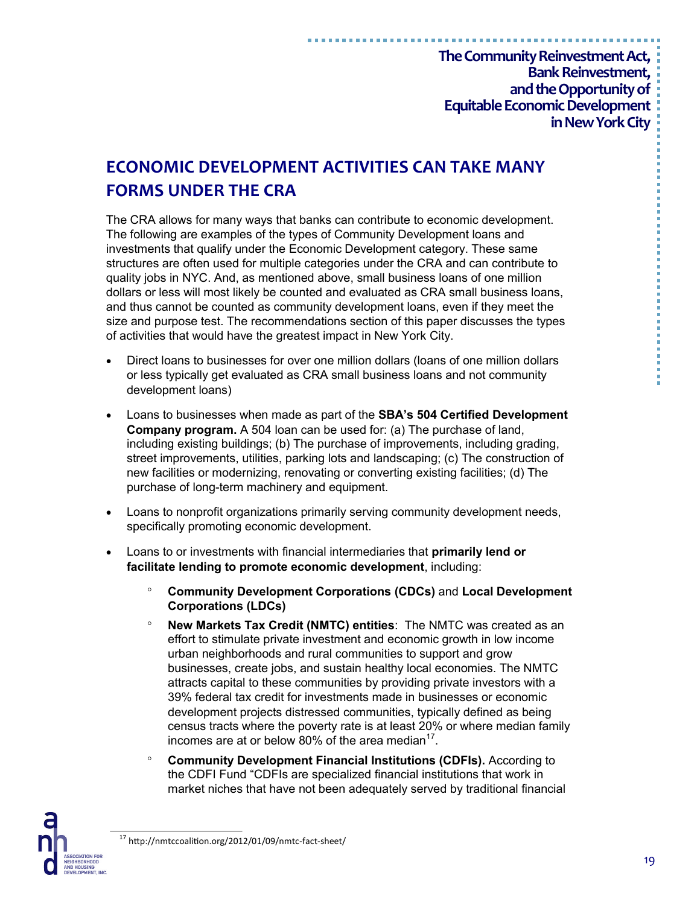# **ECONOMIC DEVELOPMENT ACTIVITIES CAN TAKE MANY FORMS UNDER THE CRA**

The CRA allows for many ways that banks can contribute to economic development. The following are examples of the types of Community Development loans and investments that qualify under the Economic Development category. These same structures are often used for multiple categories under the CRA and can contribute to quality jobs in NYC. And, as mentioned above, small business loans of one million dollars or less will most likely be counted and evaluated as CRA small business loans, and thus cannot be counted as community development loans, even if they meet the size and purpose test. The recommendations section of this paper discusses the types of activities that would have the greatest impact in New York City.

- Direct loans to businesses for over one million dollars (loans of one million dollars or less typically get evaluated as CRA small business loans and not community development loans)
- Loans to businesses when made as part of the **SBA's 504 Certified Development Company program.** A 504 loan can be used for: (a) The purchase of land, including existing buildings; (b) The purchase of improvements, including grading, street improvements, utilities, parking lots and landscaping; (c) The construction of new facilities or modernizing, renovating or converting existing facilities; (d) The purchase of long-term machinery and equipment.
- Loans to nonprofit organizations primarily serving community development needs, specifically promoting economic development.
- Loans to or investments with financial intermediaries that **primarily lend or facilitate lending to promote economic development**, including:
	- **Community Development Corporations (CDCs)** and **Local Development Corporations (LDCs)**
	- **New Markets Tax Credit (NMTC) entities**: The NMTC was created as an effort to stimulate private investment and economic growth in low income urban neighborhoods and rural communities to support and grow businesses, create jobs, and sustain healthy local economies. The NMTC attracts capital to these communities by providing private investors with a 39% federal tax credit for investments made in businesses or economic development projects distressed communities, typically defined as being census tracts where the poverty rate is at least 20% or where median family incomes are at or below 80% of the area median $17$ .
	- **Community Development Financial Institutions (CDFIs).** According to the CDFI Fund "CDFIs are specialized financial institutions that work in market niches that have not been adequately served by traditional financial

-----------------

<sup>17</sup> http://nmtccoalition.org/2012/01/09/nmtc-fact-sheet/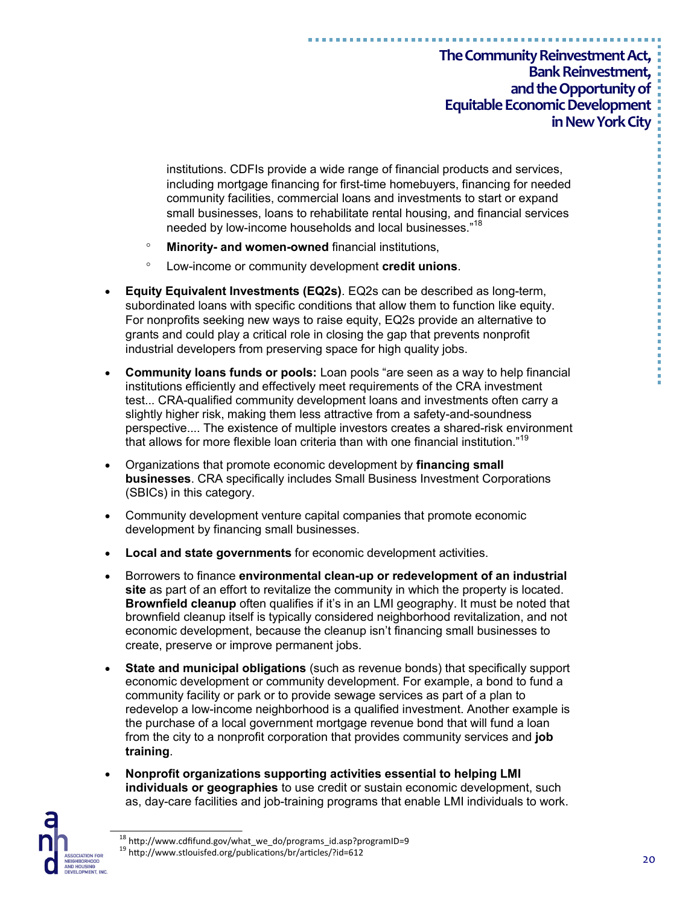institutions. CDFIs provide a wide range of financial products and services, including mortgage financing for first-time homebuyers, financing for needed community facilities, commercial loans and investments to start or expand small businesses, loans to rehabilitate rental housing, and financial services needed by low-income households and local businesses."<sup>18</sup>

- **Minority- and women-owned** financial institutions,
- Low-income or community development **credit unions**.
- **Equity Equivalent Investments (EQ2s)**. EQ2s can be described as long-term, subordinated loans with specific conditions that allow them to function like equity. For nonprofits seeking new ways to raise equity, EQ2s provide an alternative to grants and could play a critical role in closing the gap that prevents nonprofit industrial developers from preserving space for high quality jobs.
- **Community loans funds or pools:** Loan pools "are seen as a way to help financial institutions efficiently and effectively meet requirements of the CRA investment test... CRA-qualified community development loans and investments often carry a slightly higher risk, making them less attractive from a safety-and-soundness perspective.... The existence of multiple investors creates a shared-risk environment that allows for more flexible loan criteria than with one financial institution."<sup>19</sup>
- Organizations that promote economic development by **financing small businesses**. CRA specifically includes Small Business Investment Corporations (SBICs) in this category.
- Community development venture capital companies that promote economic development by financing small businesses.
- **Local and state governments** for economic development activities.
- Borrowers to finance **environmental clean-up or redevelopment of an industrial site** as part of an effort to revitalize the community in which the property is located. **Brownfield cleanup** often qualifies if it's in an LMI geography. It must be noted that brownfield cleanup itself is typically considered neighborhood revitalization, and not economic development, because the cleanup isn't financing small businesses to create, preserve or improve permanent jobs.
- **State and municipal obligations** (such as revenue bonds) that specifically support economic development or community development. For example, a bond to fund a community facility or park or to provide sewage services as part of a plan to redevelop a low-income neighborhood is a qualified investment. Another example is the purchase of a local government mortgage revenue bond that will fund a loan from the city to a nonprofit corporation that provides community services and **job training**.
- **Nonprofit organizations supporting activities essential to helping LMI individuals or geographies** to use credit or sustain economic development, such as, day-care facilities and job-training programs that enable LMI individuals to work.



<sup>&</sup>lt;sup>18</sup> http://www.cdfifund.gov/what\_we\_do/programs\_id.asp?programID=9 <sup>19</sup> http://www.stlouisfed.org/publications/br/articles/?id=612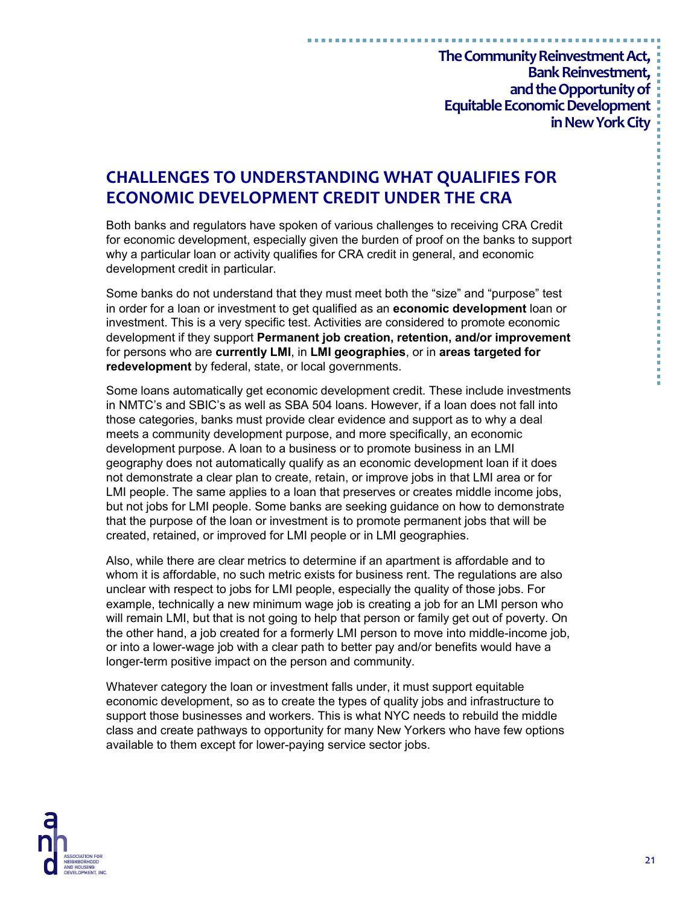# **CHALLENGES TO UNDERSTANDING WHAT QUALIFIES FOR ECONOMIC DEVELOPMENT CREDIT UNDER THE CRA**

Both banks and regulators have spoken of various challenges to receiving CRA Credit for economic development, especially given the burden of proof on the banks to support why a particular loan or activity qualifies for CRA credit in general, and economic development credit in particular.

Some banks do not understand that they must meet both the "size" and "purpose" test in order for a loan or investment to get qualified as an **economic development** loan or investment. This is a very specific test. Activities are considered to promote economic development if they support **Permanent job creation, retention, and/or improvement**  for persons who are **currently LMI**, in **LMI geographies**, or in **areas targeted for redevelopment** by federal, state, or local governments.

Some loans automatically get economic development credit. These include investments in NMTC's and SBIC's as well as SBA 504 loans. However, if a loan does not fall into those categories, banks must provide clear evidence and support as to why a deal meets a community development purpose, and more specifically, an economic development purpose. A loan to a business or to promote business in an LMI geography does not automatically qualify as an economic development loan if it does not demonstrate a clear plan to create, retain, or improve jobs in that LMI area or for LMI people. The same applies to a loan that preserves or creates middle income jobs, but not jobs for LMI people. Some banks are seeking guidance on how to demonstrate that the purpose of the loan or investment is to promote permanent jobs that will be created, retained, or improved for LMI people or in LMI geographies.

Also, while there are clear metrics to determine if an apartment is affordable and to whom it is affordable, no such metric exists for business rent. The regulations are also unclear with respect to jobs for LMI people, especially the quality of those jobs. For example, technically a new minimum wage job is creating a job for an LMI person who will remain LMI, but that is not going to help that person or family get out of poverty. On the other hand, a job created for a formerly LMI person to move into middle-income job, or into a lower-wage job with a clear path to better pay and/or benefits would have a longer-term positive impact on the person and community.

Whatever category the loan or investment falls under, it must support equitable economic development, so as to create the types of quality jobs and infrastructure to support those businesses and workers. This is what NYC needs to rebuild the middle class and create pathways to opportunity for many New Yorkers who have few options available to them except for lower-paying service sector jobs.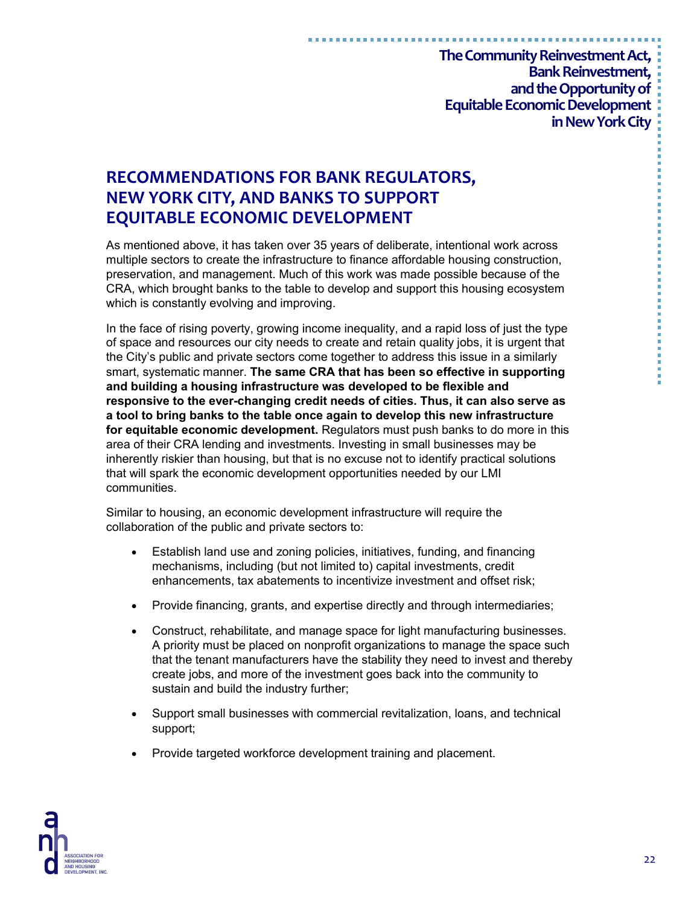# **RECOMMENDATIONS FOR BANK REGULATORS, NEW YORK CITY, AND BANKS TO SUPPORT EQUITABLE ECONOMIC DEVELOPMENT**

As mentioned above, it has taken over 35 years of deliberate, intentional work across multiple sectors to create the infrastructure to finance affordable housing construction, preservation, and management. Much of this work was made possible because of the CRA, which brought banks to the table to develop and support this housing ecosystem which is constantly evolving and improving.

In the face of rising poverty, growing income inequality, and a rapid loss of just the type of space and resources our city needs to create and retain quality jobs, it is urgent that the City's public and private sectors come together to address this issue in a similarly smart, systematic manner. **The same CRA that has been so effective in supporting and building a housing infrastructure was developed to be flexible and responsive to the ever-changing credit needs of cities. Thus, it can also serve as a tool to bring banks to the table once again to develop this new infrastructure for equitable economic development.** Regulators must push banks to do more in this area of their CRA lending and investments. Investing in small businesses may be inherently riskier than housing, but that is no excuse not to identify practical solutions that will spark the economic development opportunities needed by our LMI communities.

Similar to housing, an economic development infrastructure will require the collaboration of the public and private sectors to:

- Establish land use and zoning policies, initiatives, funding, and financing mechanisms, including (but not limited to) capital investments, credit enhancements, tax abatements to incentivize investment and offset risk;
- Provide financing, grants, and expertise directly and through intermediaries;
- Construct, rehabilitate, and manage space for light manufacturing businesses. A priority must be placed on nonprofit organizations to manage the space such that the tenant manufacturers have the stability they need to invest and thereby create jobs, and more of the investment goes back into the community to sustain and build the industry further;
- Support small businesses with commercial revitalization, loans, and technical support;
- Provide targeted workforce development training and placement.

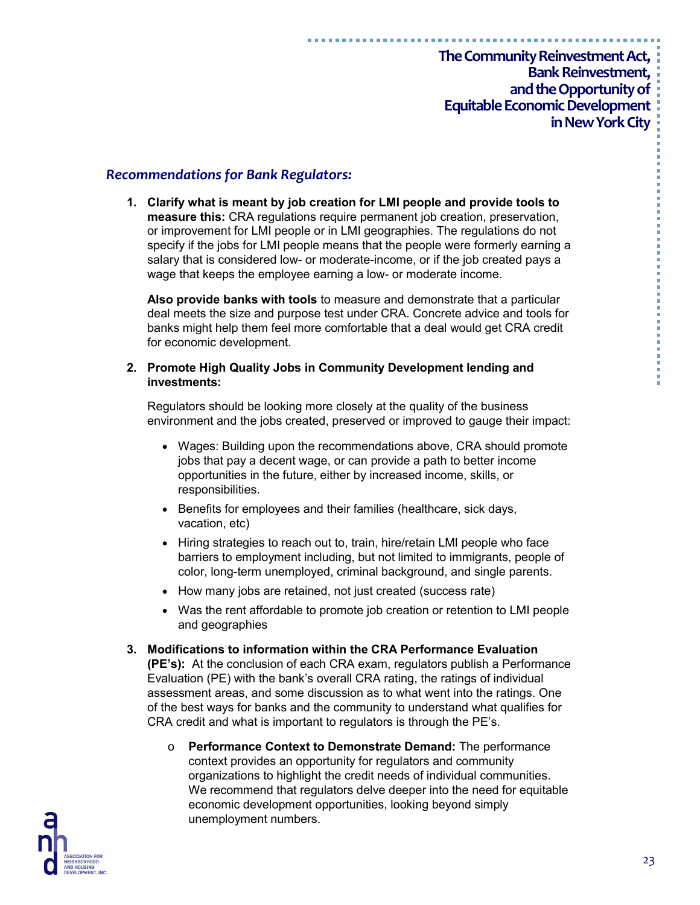#### *Recommendations for Bank Regulators:*

**1. Clarify what is meant by job creation for LMI people and provide tools to measure this:** CRA regulations require permanent job creation, preservation, or improvement for LMI people or in LMI geographies. The regulations do not specify if the jobs for LMI people means that the people were formerly earning a salary that is considered low- or moderate-income, or if the job created pays a wage that keeps the employee earning a low- or moderate income.

**Also provide banks with tools** to measure and demonstrate that a particular deal meets the size and purpose test under CRA. Concrete advice and tools for banks might help them feel more comfortable that a deal would get CRA credit for economic development.

#### **2. Promote High Quality Jobs in Community Development lending and investments:**

Regulators should be looking more closely at the quality of the business environment and the jobs created, preserved or improved to gauge their impact:

- Wages: Building upon the recommendations above, CRA should promote jobs that pay a decent wage, or can provide a path to better income opportunities in the future, either by increased income, skills, or responsibilities.
- Benefits for employees and their families (healthcare, sick days, vacation, etc)
- Hiring strategies to reach out to, train, hire/retain LMI people who face barriers to employment including, but not limited to immigrants, people of color, long-term unemployed, criminal background, and single parents.
- How many jobs are retained, not just created (success rate)
- Was the rent affordable to promote job creation or retention to LMI people and geographies
- **3. Modifications to information within the CRA Performance Evaluation (PE's):** At the conclusion of each CRA exam, regulators publish a Performance Evaluation (PE) with the bank's overall CRA rating, the ratings of individual assessment areas, and some discussion as to what went into the ratings. One of the best ways for banks and the community to understand what qualifies for CRA credit and what is important to regulators is through the PE's.
	- o **Performance Context to Demonstrate Demand:** The performance context provides an opportunity for regulators and community organizations to highlight the credit needs of individual communities. We recommend that regulators delve deeper into the need for equitable economic development opportunities, looking beyond simply unemployment numbers.

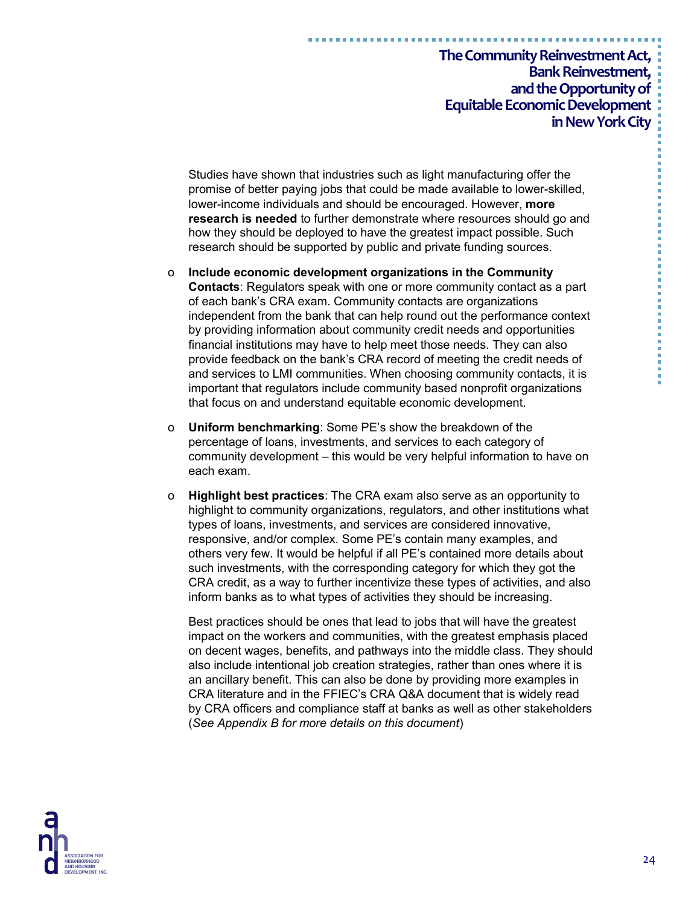Studies have shown that industries such as light manufacturing offer the promise of better paying jobs that could be made available to lower-skilled, lower-income individuals and should be encouraged. However, **more research is needed** to further demonstrate where resources should go and how they should be deployed to have the greatest impact possible. Such research should be supported by public and private funding sources.

- o **Include economic development organizations in the Community Contacts**: Regulators speak with one or more community contact as a part of each bank's CRA exam. Community contacts are organizations independent from the bank that can help round out the performance context by providing information about community credit needs and opportunities financial institutions may have to help meet those needs. They can also provide feedback on the bank's CRA record of meeting the credit needs of and services to LMI communities. When choosing community contacts, it is important that regulators include community based nonprofit organizations that focus on and understand equitable economic development.
- o **Uniform benchmarking**: Some PE's show the breakdown of the percentage of loans, investments, and services to each category of community development – this would be very helpful information to have on each exam.
- o **Highlight best practices**: The CRA exam also serve as an opportunity to highlight to community organizations, regulators, and other institutions what types of loans, investments, and services are considered innovative, responsive, and/or complex. Some PE's contain many examples, and others very few. It would be helpful if all PE's contained more details about such investments, with the corresponding category for which they got the CRA credit, as a way to further incentivize these types of activities, and also inform banks as to what types of activities they should be increasing.

Best practices should be ones that lead to jobs that will have the greatest impact on the workers and communities, with the greatest emphasis placed on decent wages, benefits, and pathways into the middle class. They should also include intentional job creation strategies, rather than ones where it is an ancillary benefit. This can also be done by providing more examples in CRA literature and in the FFIEC's CRA Q&A document that is widely read by CRA officers and compliance staff at banks as well as other stakeholders (*See Appendix B for more details on this document*)

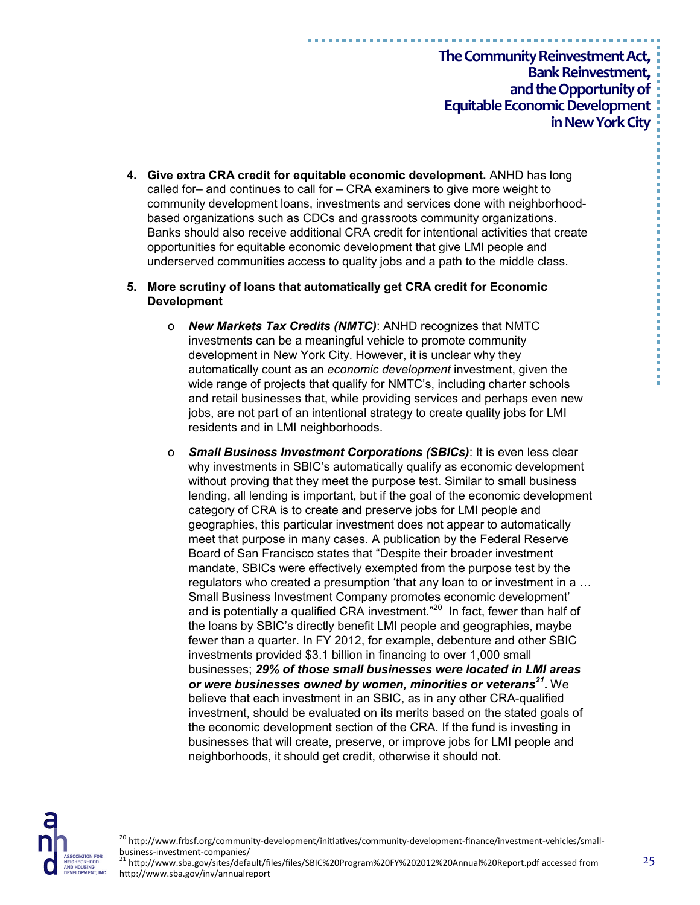- **4. Give extra CRA credit for equitable economic development.** ANHD has long called for– and continues to call for – CRA examiners to give more weight to community development loans, investments and services done with neighborhoodbased organizations such as CDCs and grassroots community organizations. Banks should also receive additional CRA credit for intentional activities that create opportunities for equitable economic development that give LMI people and underserved communities access to quality jobs and a path to the middle class.
- **5. More scrutiny of loans that automatically get CRA credit for Economic Development**
	- o *New Markets Tax Credits (NMTC)*: ANHD recognizes that NMTC investments can be a meaningful vehicle to promote community development in New York City. However, it is unclear why they automatically count as an *economic development* investment, given the wide range of projects that qualify for NMTC's, including charter schools and retail businesses that, while providing services and perhaps even new jobs, are not part of an intentional strategy to create quality jobs for LMI residents and in LMI neighborhoods.
	- o *Small Business Investment Corporations (SBICs)*: It is even less clear why investments in SBIC's automatically qualify as economic development without proving that they meet the purpose test. Similar to small business lending, all lending is important, but if the goal of the economic development category of CRA is to create and preserve jobs for LMI people and geographies, this particular investment does not appear to automatically meet that purpose in many cases. A publication by the Federal Reserve Board of San Francisco states that "Despite their broader investment mandate, SBICs were effectively exempted from the purpose test by the regulators who created a presumption 'that any loan to or investment in a … Small Business Investment Company promotes economic development' and is potentially a qualified CRA investment."<sup>20</sup> In fact, fewer than half of the loans by SBIC's directly benefit LMI people and geographies, maybe fewer than a quarter. In FY 2012, for example, debenture and other SBIC investments provided \$3.1 billion in financing to over 1,000 small businesses; *29% of those small businesses were located in LMI areas or were businesses owned by women, minorities or veterans<sup>21</sup>* **.** We believe that each investment in an SBIC, as in any other CRA-qualified investment, should be evaluated on its merits based on the stated goals of the economic development section of the CRA. If the fund is investing in businesses that will create, preserve, or improve jobs for LMI people and neighborhoods, it should get credit, otherwise it should not.



<sup>&</sup>lt;sup>20</sup> http://www.frbsf.org/community-development/initiatives/community-development-finance/investment-vehicles/smallbusiness-investment-companies/<br>
<sup>21</sup> http://...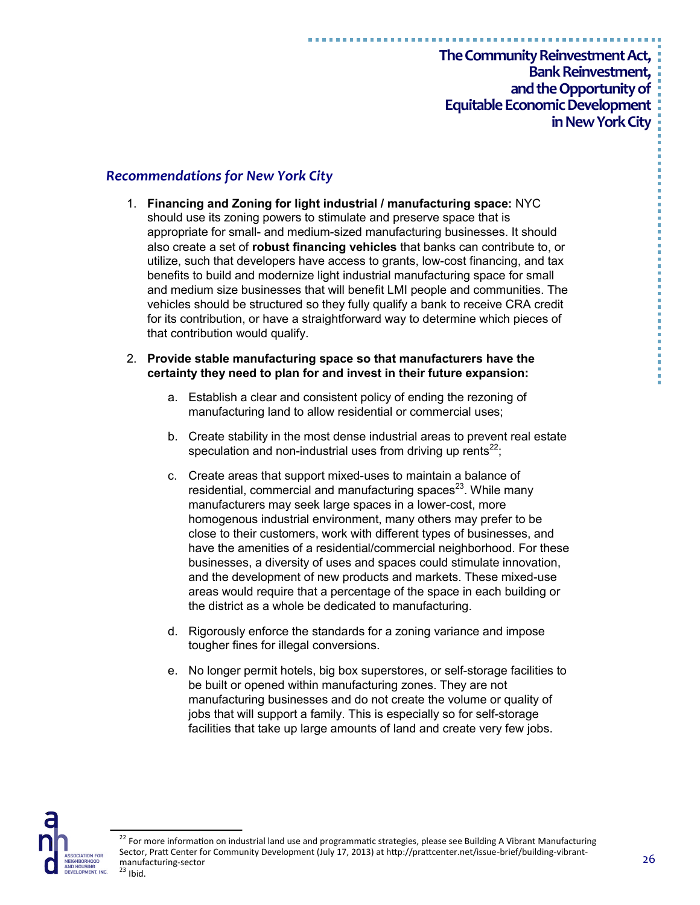**The Community Reinvestment Act,**

**Bank Reinvestment, and the Opportunity of Equitable Economic Development in New York City**

### *Recommendations for New York City*

1. **Financing and Zoning for light industrial / manufacturing space:** NYC should use its zoning powers to stimulate and preserve space that is appropriate for small- and medium-sized manufacturing businesses. It should also create a set of **robust financing vehicles** that banks can contribute to, or utilize, such that developers have access to grants, low-cost financing, and tax benefits to build and modernize light industrial manufacturing space for small and medium size businesses that will benefit LMI people and communities. The vehicles should be structured so they fully qualify a bank to receive CRA credit for its contribution, or have a straightforward way to determine which pieces of that contribution would qualify.

#### 2. **Provide stable manufacturing space so that manufacturers have the certainty they need to plan for and invest in their future expansion:**

- a. Establish a clear and consistent policy of ending the rezoning of manufacturing land to allow residential or commercial uses;
- b. Create stability in the most dense industrial areas to prevent real estate speculation and non-industrial uses from driving up rents<sup>22</sup>;
- c. Create areas that support mixed-uses to maintain a balance of residential, commercial and manufacturing spaces $23$ . While many manufacturers may seek large spaces in a lower-cost, more homogenous industrial environment, many others may prefer to be close to their customers, work with different types of businesses, and have the amenities of a residential/commercial neighborhood. For these businesses, a diversity of uses and spaces could stimulate innovation, and the development of new products and markets. These mixed-use areas would require that a percentage of the space in each building or the district as a whole be dedicated to manufacturing.
- d. Rigorously enforce the standards for a zoning variance and impose tougher fines for illegal conversions.
- e. No longer permit hotels, big box superstores, or self-storage facilities to be built or opened within manufacturing zones. They are not manufacturing businesses and do not create the volume or quality of jobs that will support a family. This is especially so for self-storage facilities that take up large amounts of land and create very few jobs.



<sup>&</sup>lt;sup>22</sup> For more information on industrial land use and programmatic strategies, please see Building A Vibrant Manufacturing Sector, Pratt Center for Community Development (July 17, 2013) at http://prattcenter.net/issue-brief/building-vibrantmanufacturing-sector  $23$  Ibid.

医皮肤性 医骨髓 医骨髓 医血清性 医血清性 医血清性 医血管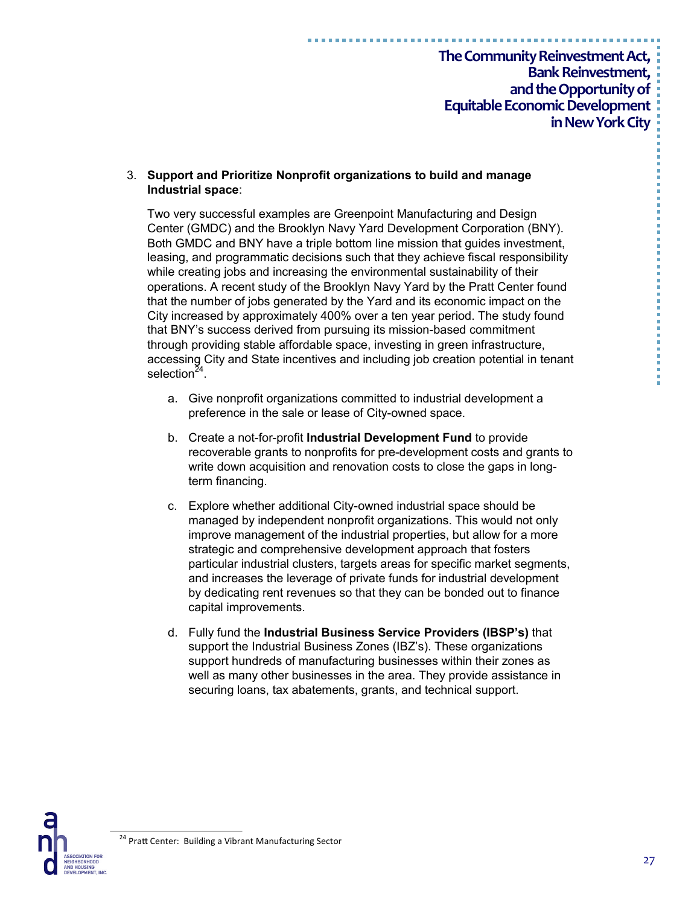#### 3. **Support and Prioritize Nonprofit organizations to build and manage Industrial space**:

Two very successful examples are Greenpoint Manufacturing and Design Center (GMDC) and the Brooklyn Navy Yard Development Corporation (BNY). Both GMDC and BNY have a triple bottom line mission that guides investment, leasing, and programmatic decisions such that they achieve fiscal responsibility while creating jobs and increasing the environmental sustainability of their operations. A recent study of the Brooklyn Navy Yard by the Pratt Center found that the number of jobs generated by the Yard and its economic impact on the City increased by approximately 400% over a ten year period. The study found that BNY's success derived from pursuing its mission-based commitment through providing stable affordable space, investing in green infrastructure, accessing City and State incentives and including job creation potential in tenant selection<sup>24</sup>.

- a. Give nonprofit organizations committed to industrial development a preference in the sale or lease of City-owned space.
- b. Create a not-for-profit **Industrial Development Fund** to provide recoverable grants to nonprofits for pre-development costs and grants to write down acquisition and renovation costs to close the gaps in longterm financing.
- c. Explore whether additional City-owned industrial space should be managed by independent nonprofit organizations. This would not only improve management of the industrial properties, but allow for a more strategic and comprehensive development approach that fosters particular industrial clusters, targets areas for specific market segments, and increases the leverage of private funds for industrial development by dedicating rent revenues so that they can be bonded out to finance capital improvements.
- d. Fully fund the **Industrial Business Service Providers (IBSP's)** that support the Industrial Business Zones (IBZ's). These organizations support hundreds of manufacturing businesses within their zones as well as many other businesses in the area. They provide assistance in securing loans, tax abatements, grants, and technical support.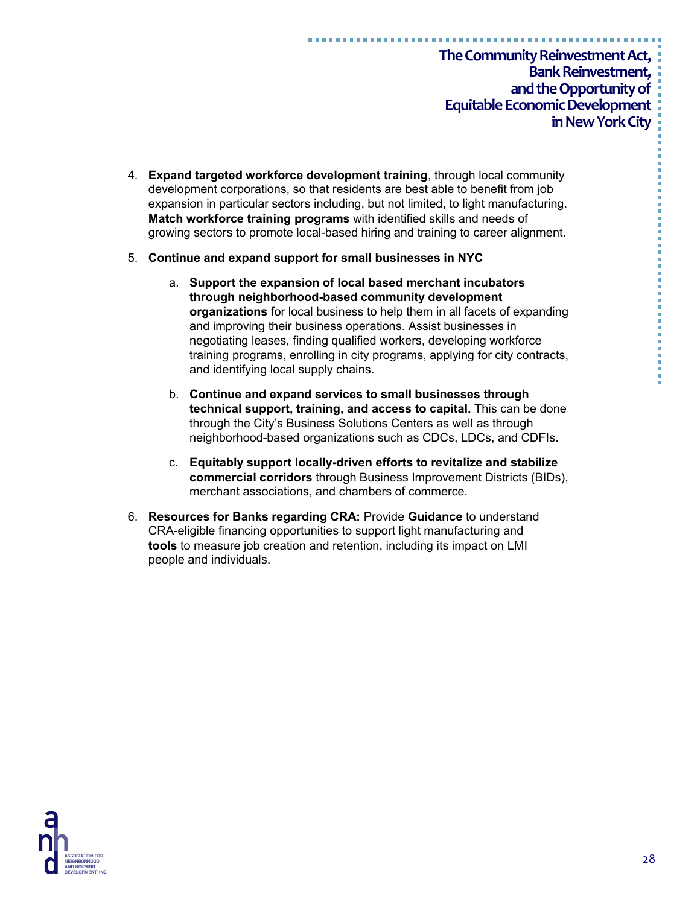- 4. **Expand targeted workforce development training**, through local community development corporations, so that residents are best able to benefit from job expansion in particular sectors including, but not limited, to light manufacturing. **Match workforce training programs** with identified skills and needs of growing sectors to promote local-based hiring and training to career alignment.
- 5. **Continue and expand support for small businesses in NYC**
	- a. **Support the expansion of local based merchant incubators through neighborhood-based community development organizations** for local business to help them in all facets of expanding and improving their business operations. Assist businesses in negotiating leases, finding qualified workers, developing workforce training programs, enrolling in city programs, applying for city contracts, and identifying local supply chains.
	- b. **Continue and expand services to small businesses through technical support, training, and access to capital.** This can be done through the City's Business Solutions Centers as well as through neighborhood-based organizations such as CDCs, LDCs, and CDFIs.
	- c. **Equitably support locally-driven efforts to revitalize and stabilize commercial corridors** through Business Improvement Districts (BIDs), merchant associations, and chambers of commerce.
- 6. **Resources for Banks regarding CRA:** Provide **Guidance** to understand CRA-eligible financing opportunities to support light manufacturing and **tools** to measure job creation and retention, including its impact on LMI people and individuals.

医胃炎 医胃炎 医血管血管 医血管血管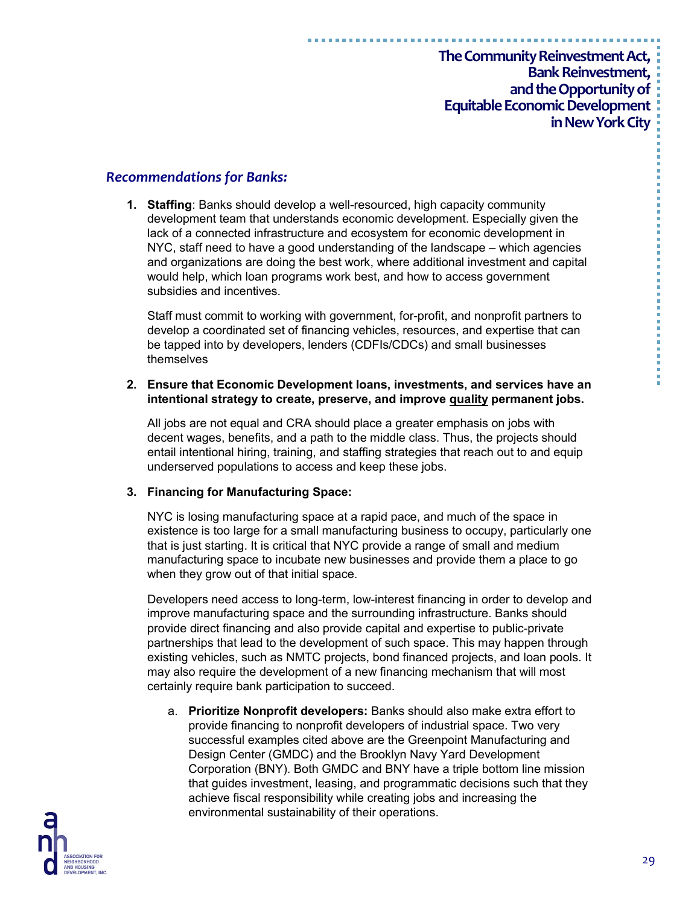#### *Recommendations for Banks:*

**1. Staffing**: Banks should develop a well-resourced, high capacity community development team that understands economic development. Especially given the lack of a connected infrastructure and ecosystem for economic development in NYC, staff need to have a good understanding of the landscape – which agencies and organizations are doing the best work, where additional investment and capital would help, which loan programs work best, and how to access government subsidies and incentives.

Staff must commit to working with government, for-profit, and nonprofit partners to develop a coordinated set of financing vehicles, resources, and expertise that can be tapped into by developers, lenders (CDFIs/CDCs) and small businesses themselves

#### **2. Ensure that Economic Development loans, investments, and services have an intentional strategy to create, preserve, and improve quality permanent jobs.**

All jobs are not equal and CRA should place a greater emphasis on jobs with decent wages, benefits, and a path to the middle class. Thus, the projects should entail intentional hiring, training, and staffing strategies that reach out to and equip underserved populations to access and keep these jobs.

#### **3. Financing for Manufacturing Space:**

NYC is losing manufacturing space at a rapid pace, and much of the space in existence is too large for a small manufacturing business to occupy, particularly one that is just starting. It is critical that NYC provide a range of small and medium manufacturing space to incubate new businesses and provide them a place to go when they grow out of that initial space.

Developers need access to long-term, low-interest financing in order to develop and improve manufacturing space and the surrounding infrastructure. Banks should provide direct financing and also provide capital and expertise to public-private partnerships that lead to the development of such space. This may happen through existing vehicles, such as NMTC projects, bond financed projects, and loan pools. It may also require the development of a new financing mechanism that will most certainly require bank participation to succeed.

a. **Prioritize Nonprofit developers:** Banks should also make extra effort to provide financing to nonprofit developers of industrial space. Two very successful examples cited above are the Greenpoint Manufacturing and Design Center (GMDC) and the Brooklyn Navy Yard Development Corporation (BNY). Both GMDC and BNY have a triple bottom line mission that guides investment, leasing, and programmatic decisions such that they achieve fiscal responsibility while creating jobs and increasing the environmental sustainability of their operations.

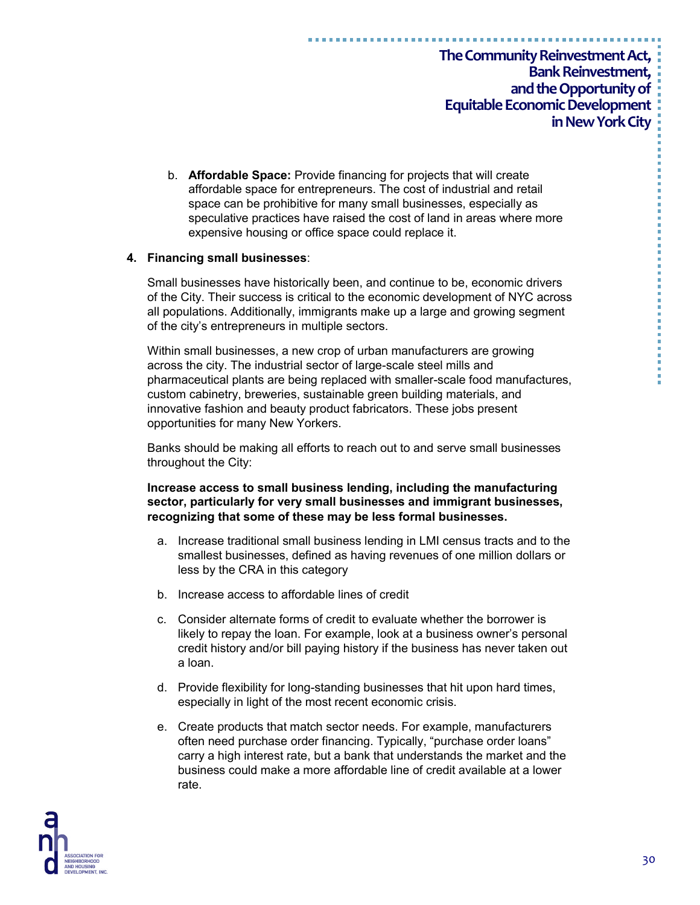b. **Affordable Space:** Provide financing for projects that will create affordable space for entrepreneurs. The cost of industrial and retail space can be prohibitive for many small businesses, especially as speculative practices have raised the cost of land in areas where more expensive housing or office space could replace it.

#### **4. Financing small businesses**:

Small businesses have historically been, and continue to be, economic drivers of the City. Their success is critical to the economic development of NYC across all populations. Additionally, immigrants make up a large and growing segment of the city's entrepreneurs in multiple sectors.

Within small businesses, a new crop of urban manufacturers are growing across the city. The industrial sector of large-scale steel mills and pharmaceutical plants are being replaced with smaller-scale food manufactures, custom cabinetry, breweries, sustainable green building materials, and innovative fashion and beauty product fabricators. These jobs present opportunities for many New Yorkers.

Banks should be making all efforts to reach out to and serve small businesses throughout the City:

#### **Increase access to small business lending, including the manufacturing sector, particularly for very small businesses and immigrant businesses, recognizing that some of these may be less formal businesses.**

- a. Increase traditional small business lending in LMI census tracts and to the smallest businesses, defined as having revenues of one million dollars or less by the CRA in this category
- b. Increase access to affordable lines of credit
- c. Consider alternate forms of credit to evaluate whether the borrower is likely to repay the loan. For example, look at a business owner's personal credit history and/or bill paying history if the business has never taken out a loan.
- d. Provide flexibility for long-standing businesses that hit upon hard times, especially in light of the most recent economic crisis.
- e. Create products that match sector needs. For example, manufacturers often need purchase order financing. Typically, "purchase order loans" carry a high interest rate, but a bank that understands the market and the business could make a more affordable line of credit available at a lower rate.

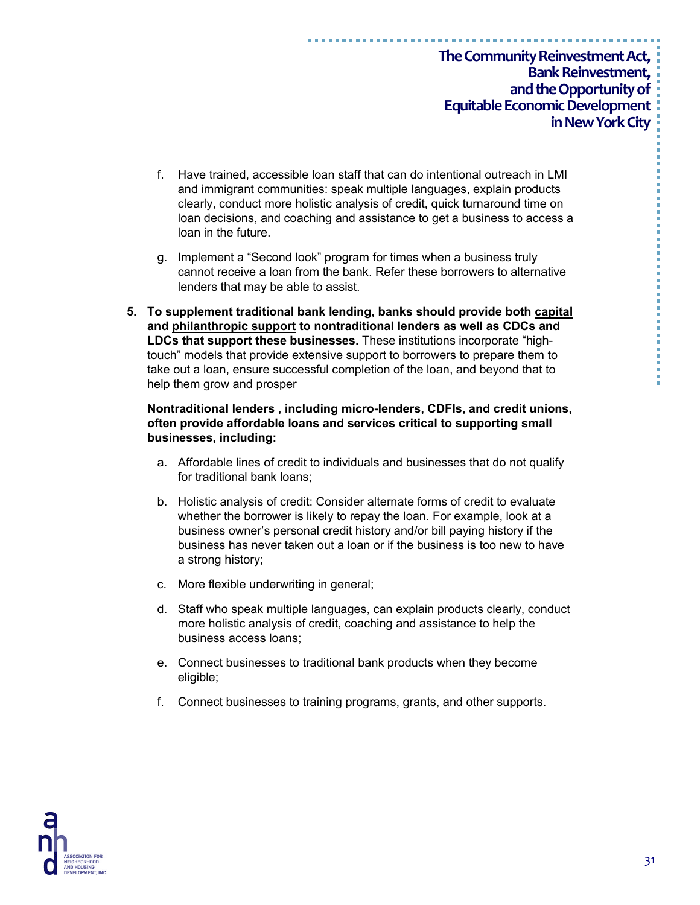- f. Have trained, accessible loan staff that can do intentional outreach in LMI and immigrant communities: speak multiple languages, explain products clearly, conduct more holistic analysis of credit, quick turnaround time on loan decisions, and coaching and assistance to get a business to access a loan in the future.
- g. Implement a "Second look" program for times when a business truly cannot receive a loan from the bank. Refer these borrowers to alternative lenders that may be able to assist.
- **5. To supplement traditional bank lending, banks should provide both capital and philanthropic support to nontraditional lenders as well as CDCs and LDCs that support these businesses.** These institutions incorporate "hightouch" models that provide extensive support to borrowers to prepare them to take out a loan, ensure successful completion of the loan, and beyond that to help them grow and prosper

#### **Nontraditional lenders , including micro-lenders, CDFIs, and credit unions, often provide affordable loans and services critical to supporting small businesses, including:**

- a. Affordable lines of credit to individuals and businesses that do not qualify for traditional bank loans;
- b. Holistic analysis of credit: Consider alternate forms of credit to evaluate whether the borrower is likely to repay the loan. For example, look at a business owner's personal credit history and/or bill paying history if the business has never taken out a loan or if the business is too new to have a strong history;
- c. More flexible underwriting in general;
- d. Staff who speak multiple languages, can explain products clearly, conduct more holistic analysis of credit, coaching and assistance to help the business access loans;
- e. Connect businesses to traditional bank products when they become eligible;
- f. Connect businesses to training programs, grants, and other supports.

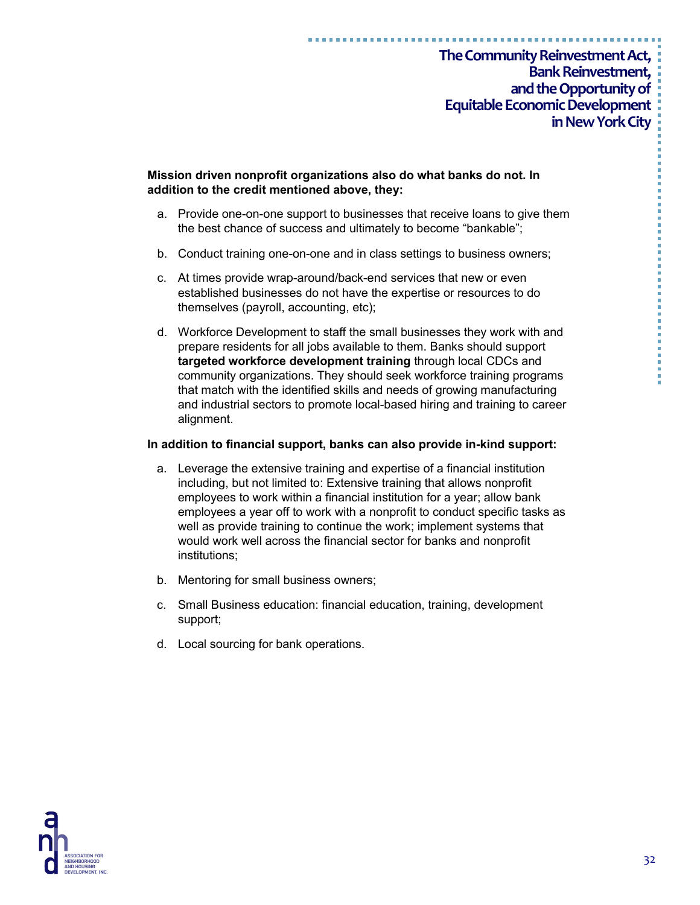**Mission driven nonprofit organizations also do what banks do not. In addition to the credit mentioned above, they:**

- a. Provide one-on-one support to businesses that receive loans to give them the best chance of success and ultimately to become "bankable";
- b. Conduct training one-on-one and in class settings to business owners;
- c. At times provide wrap-around/back-end services that new or even established businesses do not have the expertise or resources to do themselves (payroll, accounting, etc);
- d. Workforce Development to staff the small businesses they work with and prepare residents for all jobs available to them. Banks should support **targeted workforce development training** through local CDCs and community organizations. They should seek workforce training programs that match with the identified skills and needs of growing manufacturing and industrial sectors to promote local-based hiring and training to career alignment.

#### **In addition to financial support, banks can also provide in-kind support:**

- a. Leverage the extensive training and expertise of a financial institution including, but not limited to: Extensive training that allows nonprofit employees to work within a financial institution for a year; allow bank employees a year off to work with a nonprofit to conduct specific tasks as well as provide training to continue the work; implement systems that would work well across the financial sector for banks and nonprofit institutions;
- b. Mentoring for small business owners;
- c. Small Business education: financial education, training, development support;
- d. Local sourcing for bank operations.

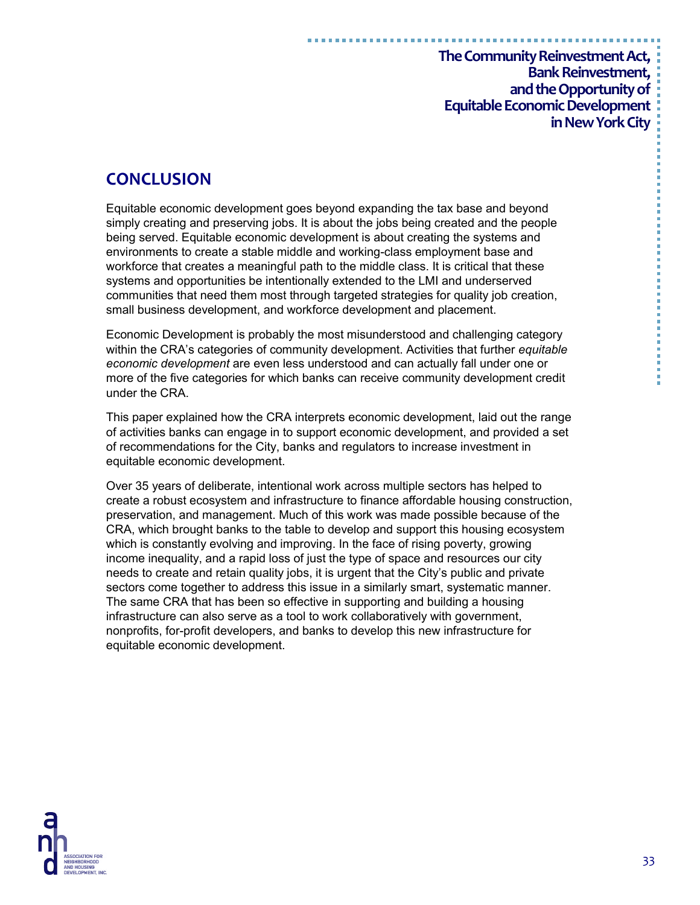# **CONCLUSION**

Equitable economic development goes beyond expanding the tax base and beyond simply creating and preserving jobs. It is about the jobs being created and the people being served. Equitable economic development is about creating the systems and environments to create a stable middle and working-class employment base and workforce that creates a meaningful path to the middle class. It is critical that these systems and opportunities be intentionally extended to the LMI and underserved communities that need them most through targeted strategies for quality job creation, small business development, and workforce development and placement.

Economic Development is probably the most misunderstood and challenging category within the CRA's categories of community development. Activities that further *equitable economic development* are even less understood and can actually fall under one or more of the five categories for which banks can receive community development credit under the CRA.

This paper explained how the CRA interprets economic development, laid out the range of activities banks can engage in to support economic development, and provided a set of recommendations for the City, banks and regulators to increase investment in equitable economic development.

Over 35 years of deliberate, intentional work across multiple sectors has helped to create a robust ecosystem and infrastructure to finance affordable housing construction, preservation, and management. Much of this work was made possible because of the CRA, which brought banks to the table to develop and support this housing ecosystem which is constantly evolving and improving. In the face of rising poverty, growing income inequality, and a rapid loss of just the type of space and resources our city needs to create and retain quality jobs, it is urgent that the City's public and private sectors come together to address this issue in a similarly smart, systematic manner. The same CRA that has been so effective in supporting and building a housing infrastructure can also serve as a tool to work collaboratively with government, nonprofits, for-profit developers, and banks to develop this new infrastructure for equitable economic development.

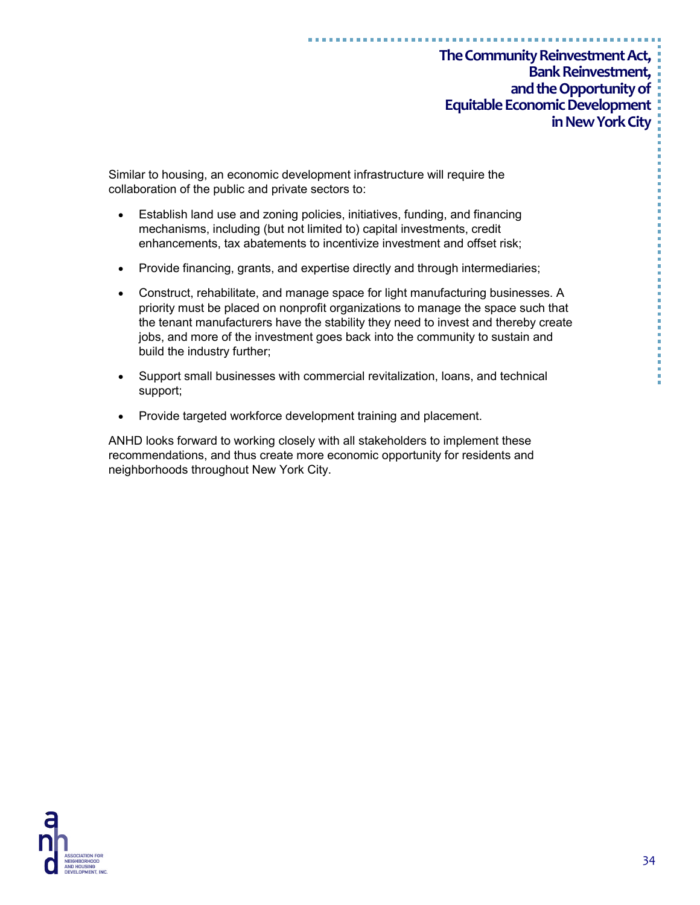Similar to housing, an economic development infrastructure will require the collaboration of the public and private sectors to:

- Establish land use and zoning policies, initiatives, funding, and financing mechanisms, including (but not limited to) capital investments, credit enhancements, tax abatements to incentivize investment and offset risk;
- Provide financing, grants, and expertise directly and through intermediaries;
- Construct, rehabilitate, and manage space for light manufacturing businesses. A priority must be placed on nonprofit organizations to manage the space such that the tenant manufacturers have the stability they need to invest and thereby create jobs, and more of the investment goes back into the community to sustain and build the industry further;
- Support small businesses with commercial revitalization, loans, and technical support;
- Provide targeted workforce development training and placement.

ANHD looks forward to working closely with all stakeholders to implement these recommendations, and thus create more economic opportunity for residents and neighborhoods throughout New York City.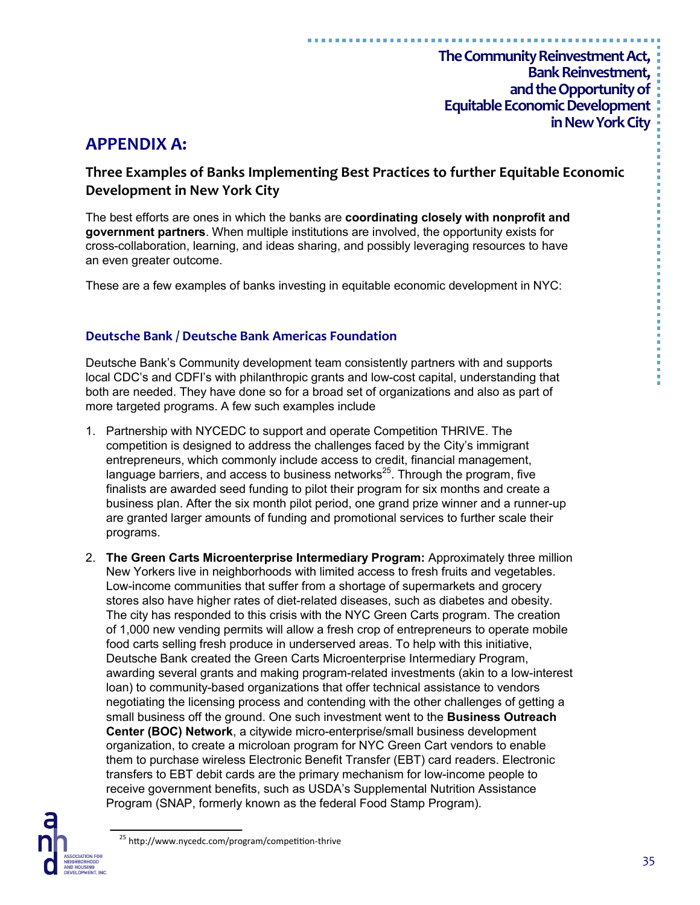# **APPENDIX A:**

# **Three Examples of Banks Implementing Best Practices to further Equitable Economic Development in New York City**

The best efforts are ones in which the banks are **coordinating closely with nonprofit and government partners**. When multiple institutions are involved, the opportunity exists for cross-collaboration, learning, and ideas sharing, and possibly leveraging resources to have an even greater outcome.

These are a few examples of banks investing in equitable economic development in NYC:

### **Deutsche Bank / Deutsche Bank Americas Foundation**

Deutsche Bank's Community development team consistently partners with and supports local CDC's and CDFI's with philanthropic grants and low-cost capital, understanding that both are needed. They have done so for a broad set of organizations and also as part of more targeted programs. A few such examples include

- 1. Partnership with NYCEDC to support and operate Competition THRIVE. The competition is designed to address the challenges faced by the City's immigrant entrepreneurs, which commonly include access to credit, financial management, language barriers, and access to business networks $^{25}$ . Through the program, five finalists are awarded seed funding to pilot their program for six months and create a business plan. After the six month pilot period, one grand prize winner and a runner-up are granted larger amounts of funding and promotional services to further scale their programs.
- 2. **The Green Carts Microenterprise Intermediary Program:** Approximately three million New Yorkers live in neighborhoods with limited access to fresh fruits and vegetables. Low-income communities that suffer from a shortage of supermarkets and grocery stores also have higher rates of diet-related diseases, such as diabetes and obesity. The city has responded to this crisis with the NYC Green Carts program. The creation of 1,000 new vending permits will allow a fresh crop of entrepreneurs to operate mobile food carts selling fresh produce in underserved areas. To help with this initiative, Deutsche Bank created the Green Carts Microenterprise Intermediary Program, awarding several grants and making program-related investments (akin to a low-interest loan) to community-based organizations that offer technical assistance to vendors negotiating the licensing process and contending with the other challenges of getting a small business off the ground. One such investment went to the **Business Outreach Center (BOC) Network**, a citywide micro-enterprise/small business development organization, to create a microloan program for NYC Green Cart vendors to enable them to purchase wireless Electronic Benefit Transfer (EBT) card readers. Electronic transfers to EBT debit cards are the primary mechanism for low-income people to receive government benefits, such as USDA's Supplemental Nutrition Assistance Program (SNAP, formerly known as the federal Food Stamp Program).

----------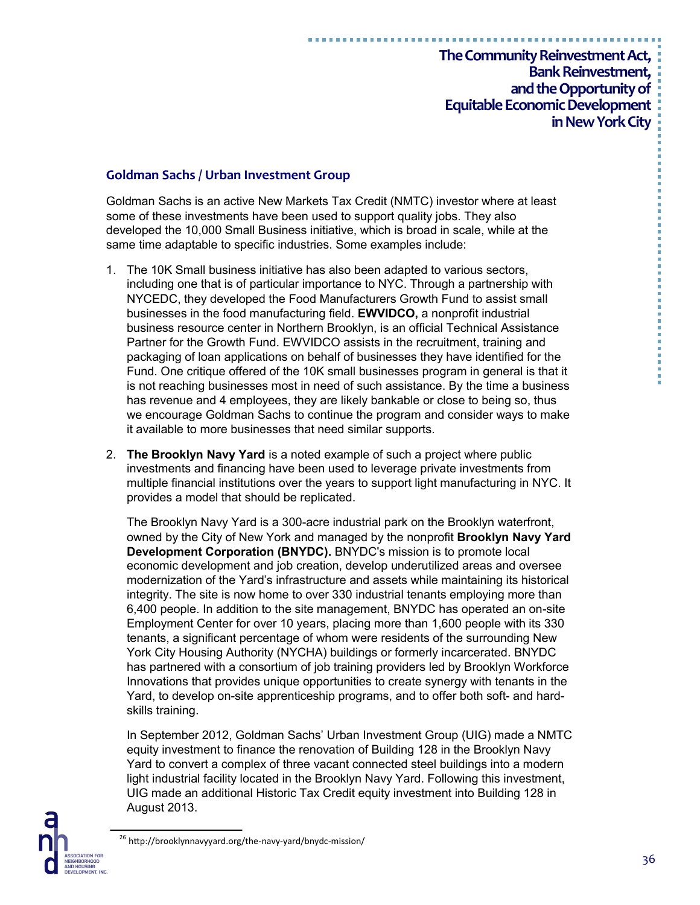#### **Goldman Sachs / Urban Investment Group**

Goldman Sachs is an active New Markets Tax Credit (NMTC) investor where at least some of these investments have been used to support quality jobs. They also developed the 10,000 Small Business initiative, which is broad in scale, while at the same time adaptable to specific industries. Some examples include:

- 1. The 10K Small business initiative has also been adapted to various sectors, including one that is of particular importance to NYC. Through a partnership with NYCEDC, they developed the Food Manufacturers Growth Fund to assist small businesses in the food manufacturing field. **EWVIDCO,** a nonprofit industrial business resource center in Northern Brooklyn, is an official Technical Assistance Partner for the Growth Fund. EWVIDCO assists in the recruitment, training and packaging of loan applications on behalf of businesses they have identified for the Fund. One critique offered of the 10K small businesses program in general is that it is not reaching businesses most in need of such assistance. By the time a business has revenue and 4 employees, they are likely bankable or close to being so, thus we encourage Goldman Sachs to continue the program and consider ways to make it available to more businesses that need similar supports.
- 2. **The Brooklyn Navy Yard** is a noted example of such a project where public investments and financing have been used to leverage private investments from multiple financial institutions over the years to support light manufacturing in NYC. It provides a model that should be replicated.

The Brooklyn Navy Yard is a 300-acre industrial park on the Brooklyn waterfront, owned by the City of New York and managed by the nonprofit **Brooklyn Navy Yard Development Corporation (BNYDC).** BNYDC's mission is to promote local economic development and job creation, develop underutilized areas and oversee modernization of the Yard's infrastructure and assets while maintaining its historical integrity. The site is now home to over 330 industrial tenants employing more than 6,400 people. In addition to the site management, BNYDC has operated an on-site Employment Center for over 10 years, placing more than 1,600 people with its 330 tenants, a significant percentage of whom were residents of the surrounding New York City Housing Authority (NYCHA) buildings or formerly incarcerated. BNYDC has partnered with a consortium of job training providers led by Brooklyn Workforce Innovations that provides unique opportunities to create synergy with tenants in the Yard, to develop on-site apprenticeship programs, and to offer both soft- and hardskills training.

In September 2012, Goldman Sachs' Urban Investment Group (UIG) made a NMTC equity investment to finance the renovation of Building 128 in the Brooklyn Navy Yard to convert a complex of three vacant connected steel buildings into a modern light industrial facility located in the Brooklyn Navy Yard. Following this investment, UIG made an additional Historic Tax Credit equity investment into Building 128 in August 2013.

医三氯化氢 医三氯化氢 医三氯化氢 医三氯化氢

<sup>&</sup>lt;sup>26</sup> http://brooklynnavyyard.org/the-navy-yard/bnydc-mission/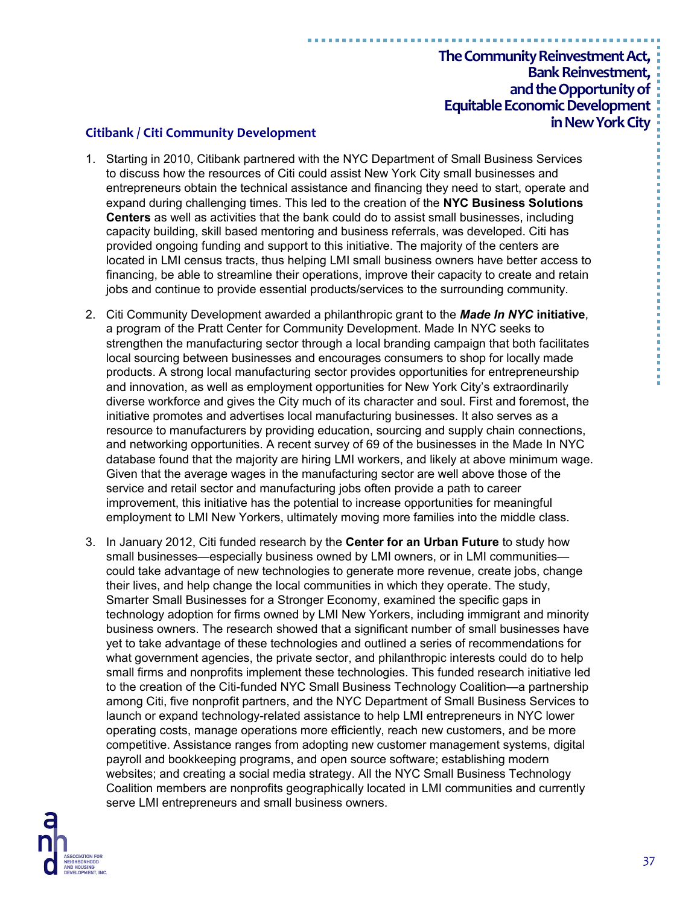#### **in New York City Citibank / Citi Community Development**

- 1. Starting in 2010, Citibank partnered with the NYC Department of Small Business Services to discuss how the resources of Citi could assist New York City small businesses and entrepreneurs obtain the technical assistance and financing they need to start, operate and expand during challenging times. This led to the creation of the **NYC Business Solutions Centers** as well as activities that the bank could do to assist small businesses, including capacity building, skill based mentoring and business referrals, was developed. Citi has provided ongoing funding and support to this initiative. The majority of the centers are located in LMI census tracts, thus helping LMI small business owners have better access to financing, be able to streamline their operations, improve their capacity to create and retain jobs and continue to provide essential products/services to the surrounding community.
- 2. Citi Community Development awarded a philanthropic grant to the *Made In NYC* **initiative**, a program of the Pratt Center for Community Development. Made In NYC seeks to strengthen the manufacturing sector through a local branding campaign that both facilitates local sourcing between businesses and encourages consumers to shop for locally made products. A strong local manufacturing sector provides opportunities for entrepreneurship and innovation, as well as employment opportunities for New York City's extraordinarily diverse workforce and gives the City much of its character and soul. First and foremost, the initiative promotes and advertises local manufacturing businesses. It also serves as a resource to manufacturers by providing education, sourcing and supply chain connections, and networking opportunities. A recent survey of 69 of the businesses in the Made In NYC database found that the majority are hiring LMI workers, and likely at above minimum wage. Given that the average wages in the manufacturing sector are well above those of the service and retail sector and manufacturing jobs often provide a path to career improvement, this initiative has the potential to increase opportunities for meaningful employment to LMI New Yorkers, ultimately moving more families into the middle class.
- 3. In January 2012, Citi funded research by the **Center for an Urban Future** to study how small businesses—especially business owned by LMI owners, or in LMI communities could take advantage of new technologies to generate more revenue, create jobs, change their lives, and help change the local communities in which they operate. The study, Smarter Small Businesses for a Stronger Economy, examined the specific gaps in technology adoption for firms owned by LMI New Yorkers, including immigrant and minority business owners. The research showed that a significant number of small businesses have yet to take advantage of these technologies and outlined a series of recommendations for what government agencies, the private sector, and philanthropic interests could do to help small firms and nonprofits implement these technologies. This funded research initiative led to the creation of the Citi-funded NYC Small Business Technology Coalition—a partnership among Citi, five nonprofit partners, and the NYC Department of Small Business Services to launch or expand technology-related assistance to help LMI entrepreneurs in NYC lower operating costs, manage operations more efficiently, reach new customers, and be more competitive. Assistance ranges from adopting new customer management systems, digital payroll and bookkeeping programs, and open source software; establishing modern websites; and creating a social media strategy. All the NYC Small Business Technology Coalition members are nonprofits geographically located in LMI communities and currently serve LMI entrepreneurs and small business owners.

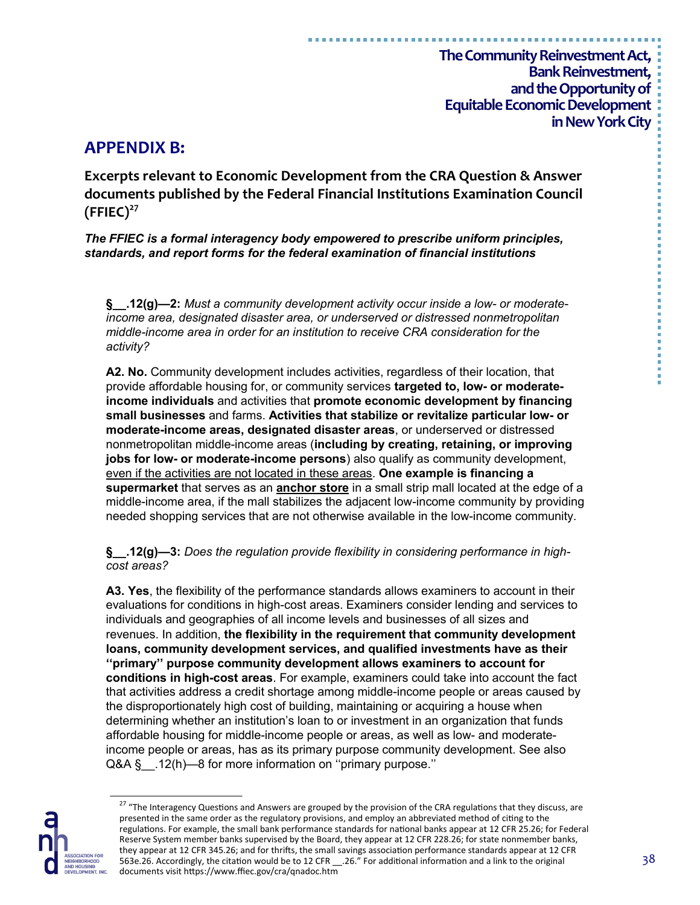# **APPENDIX B:**

**Excerpts relevant to Economic Development from the CRA Question & Answer documents published by the Federal Financial Institutions Examination Council (FFIEC)<sup>27</sup>**

*The FFIEC is a formal interagency body empowered to prescribe uniform principles, standards, and report forms for the federal examination of financial institutions*

**§\_\_.12(g)—2:** *Must a community development activity occur inside a low- or moderateincome area, designated disaster area, or underserved or distressed nonmetropolitan middle-income area in order for an institution to receive CRA consideration for the activity?*

**A2. No.** Community development includes activities, regardless of their location, that provide affordable housing for, or community services **targeted to, low- or moderateincome individuals** and activities that **promote economic development by financing small businesses** and farms. **Activities that stabilize or revitalize particular low- or moderate-income areas, designated disaster areas**, or underserved or distressed nonmetropolitan middle-income areas (**including by creating, retaining, or improving jobs for low- or moderate-income persons**) also qualify as community development, even if the activities are not located in these areas. **One example is financing a supermarket** that serves as an **anchor store** in a small strip mall located at the edge of a middle-income area, if the mall stabilizes the adjacent low-income community by providing needed shopping services that are not otherwise available in the low-income community.

**§\_\_.12(g)—3:** *Does the regulation provide flexibility in considering performance in highcost areas?*

**A3. Yes**, the flexibility of the performance standards allows examiners to account in their evaluations for conditions in high-cost areas. Examiners consider lending and services to individuals and geographies of all income levels and businesses of all sizes and revenues. In addition, **the flexibility in the requirement that community development loans, community development services, and qualified investments have as their ''primary'' purpose community development allows examiners to account for conditions in high-cost areas**. For example, examiners could take into account the fact that activities address a credit shortage among middle-income people or areas caused by the disproportionately high cost of building, maintaining or acquiring a house when determining whether an institution's loan to or investment in an organization that funds affordable housing for middle-income people or areas, as well as low- and moderateincome people or areas, has as its primary purpose community development. See also Q&A § .12(h)—8 for more information on "primary purpose."



<sup>&</sup>lt;sup>27</sup> "The Interagency Questions and Answers are grouped by the provision of the CRA regulations that they discuss, are presented in the same order as the regulatory provisions, and employ an abbreviated method of citing to the regulations. For example, the small bank performance standards for national banks appear at 12 CFR 25.26; for Federal Reserve System member banks supervised by the Board, they appear at 12 CFR 228.26; for state nonmember banks, they appear at 12 CFR 345.26; and for thrifts, the small savings association performance standards appear at 12 CFR 563e.26. Accordingly, the citation would be to 12 CFR \_\_.26." For additional information and a link to the original documents visit https://www.ffiec.gov/cra/qnadoc.htm

医血管炎 医血管炎 医血管炎 医血管性 医血管性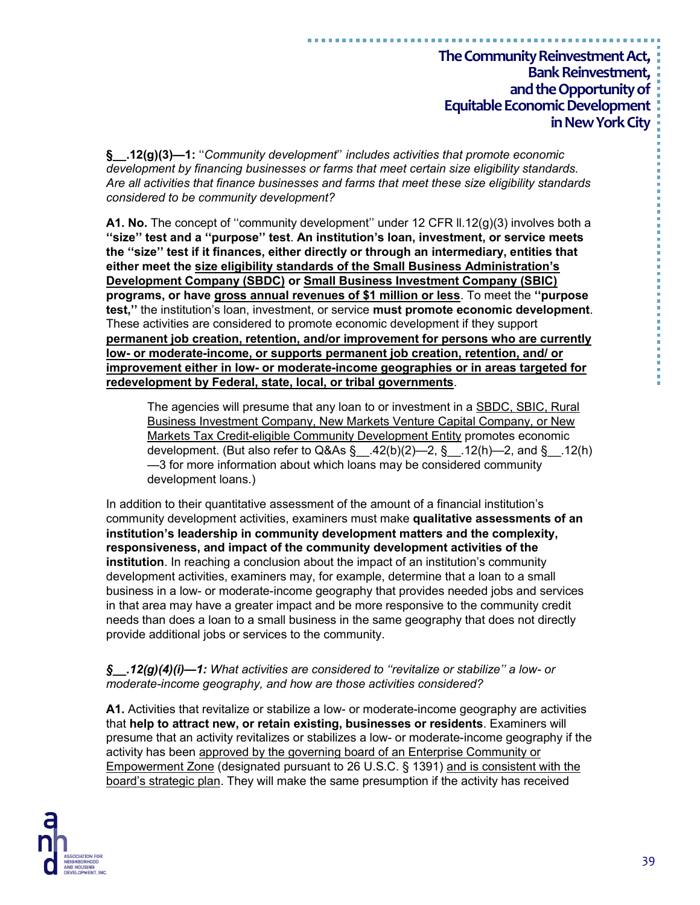**§\_\_.12(g)(3)—1:** ''*Community development*'' *includes activities that promote economic development by financing businesses or farms that meet certain size eligibility standards. Are all activities that finance businesses and farms that meet these size eligibility standards considered to be community development?*

**A1. No.** The concept of "community development" under 12 CFR II.12(g)(3) involves both a **''size'' test and a ''purpose'' test**. **An institution's loan, investment, or service meets the ''size'' test if it finances, either directly or through an intermediary, entities that either meet the size eligibility standards of the Small Business Administration's Development Company (SBDC) or Small Business Investment Company (SBIC) programs, or have gross annual revenues of \$1 million or less**. To meet the **''purpose test,''** the institution's loan, investment, or service **must promote economic development**. These activities are considered to promote economic development if they support **permanent job creation, retention, and/or improvement for persons who are currently low- or moderate-income, or supports permanent job creation, retention, and/ or improvement either in low- or moderate-income geographies or in areas targeted for redevelopment by Federal, state, local, or tribal governments**.

The agencies will presume that any loan to or investment in a SBDC, SBIC, Rural Business Investment Company, New Markets Venture Capital Company, or New Markets Tax Credit-eligible Community Development Entity promotes economic development. (But also refer to Q&As  $\S$  42(b)(2)–2, §\_\_.12(h)–2, and §\_\_.12(h) —3 for more information about which loans may be considered community development loans.)

In addition to their quantitative assessment of the amount of a financial institution's community development activities, examiners must make **qualitative assessments of an institution's leadership in community development matters and the complexity, responsiveness, and impact of the community development activities of the institution**. In reaching a conclusion about the impact of an institution's community development activities, examiners may, for example, determine that a loan to a small business in a low- or moderate-income geography that provides needed jobs and services in that area may have a greater impact and be more responsive to the community credit needs than does a loan to a small business in the same geography that does not directly provide additional jobs or services to the community.

#### *§\_\_.12(g)(4)(i)—1: What activities are considered to ''revitalize or stabilize'' a low- or moderate-income geography, and how are those activities considered?*

**A1.** Activities that revitalize or stabilize a low- or moderate-income geography are activities that **help to attract new, or retain existing, businesses or residents**. Examiners will presume that an activity revitalizes or stabilizes a low- or moderate-income geography if the activity has been approved by the governing board of an Enterprise Community or Empowerment Zone (designated pursuant to 26 U.S.C. § 1391) and is consistent with the board's strategic plan. They will make the same presumption if the activity has received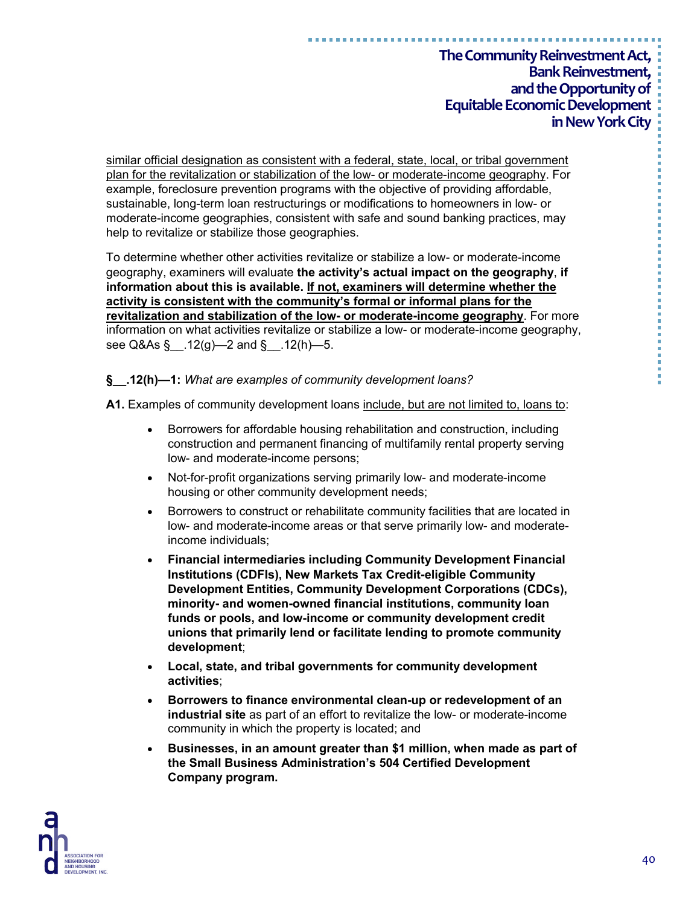similar official designation as consistent with a federal, state, local, or tribal government plan for the revitalization or stabilization of the low- or moderate-income geography. For example, foreclosure prevention programs with the objective of providing affordable, sustainable, long-term loan restructurings or modifications to homeowners in low- or moderate-income geographies, consistent with safe and sound banking practices, may help to revitalize or stabilize those geographies.

To determine whether other activities revitalize or stabilize a low- or moderate-income geography, examiners will evaluate **the activity's actual impact on the geography**, **if information about this is available. If not, examiners will determine whether the activity is consistent with the community's formal or informal plans for the revitalization and stabilization of the low- or moderate-income geography**. For more information on what activities revitalize or stabilize a low- or moderate-income geography, see Q&As §\_\_.12(g)—2 and §\_\_.12(h)—5.

**§\_\_.12(h)—1:** *What are examples of community development loans?*

**A1.** Examples of community development loans include, but are not limited to, loans to:

- Borrowers for affordable housing rehabilitation and construction, including construction and permanent financing of multifamily rental property serving low- and moderate-income persons;
- Not-for-profit organizations serving primarily low- and moderate-income housing or other community development needs;
- Borrowers to construct or rehabilitate community facilities that are located in low- and moderate-income areas or that serve primarily low- and moderateincome individuals;
- **Financial intermediaries including Community Development Financial Institutions (CDFIs), New Markets Tax Credit-eligible Community Development Entities, Community Development Corporations (CDCs), minority- and women-owned financial institutions, community loan funds or pools, and low-income or community development credit unions that primarily lend or facilitate lending to promote community development**;
- **Local, state, and tribal governments for community development activities**;
- **Borrowers to finance environmental clean-up or redevelopment of an industrial site** as part of an effort to revitalize the low- or moderate-income community in which the property is located; and
- **Businesses, in an amount greater than \$1 million, when made as part of the Small Business Administration's 504 Certified Development Company program.**

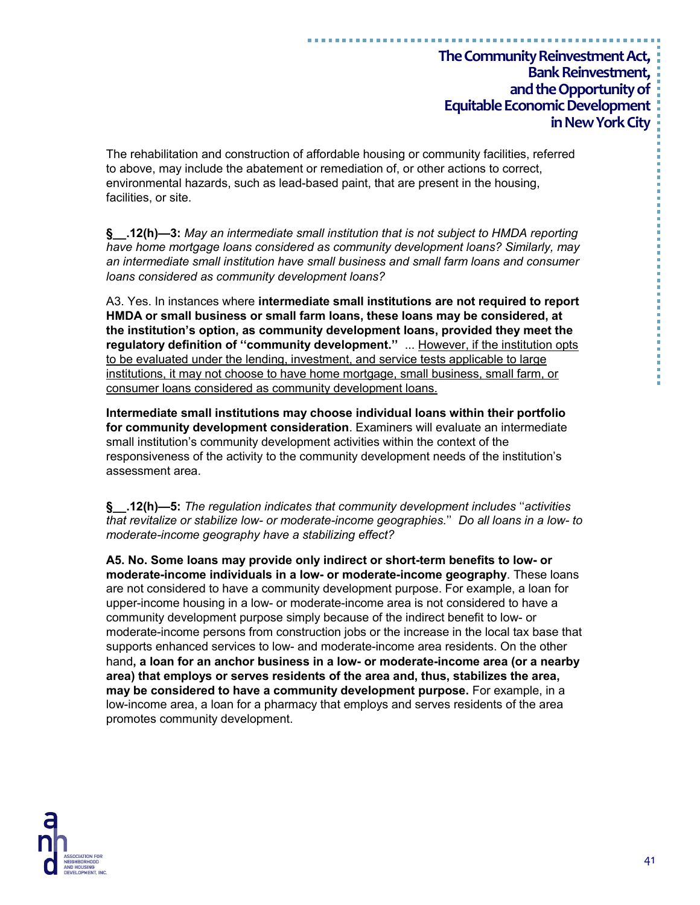The rehabilitation and construction of affordable housing or community facilities, referred to above, may include the abatement or remediation of, or other actions to correct, environmental hazards, such as lead-based paint, that are present in the housing, facilities, or site.

**§\_\_.12(h)—3:** *May an intermediate small institution that is not subject to HMDA reporting have home mortgage loans considered as community development loans? Similarly, may an intermediate small institution have small business and small farm loans and consumer loans considered as community development loans?*

A3. Yes. In instances where **intermediate small institutions are not required to report HMDA or small business or small farm loans, these loans may be considered, at the institution's option, as community development loans, provided they meet the regulatory definition of ''community development.''** ... However, if the institution opts to be evaluated under the lending, investment, and service tests applicable to large institutions, it may not choose to have home mortgage, small business, small farm, or consumer loans considered as community development loans.

**Intermediate small institutions may choose individual loans within their portfolio for community development consideration**. Examiners will evaluate an intermediate small institution's community development activities within the context of the responsiveness of the activity to the community development needs of the institution's assessment area.

**§\_\_.12(h)—5:** *The regulation indicates that community development includes* ''*activities that revitalize or stabilize low- or moderate-income geographies.*'' *Do all loans in a low- to moderate-income geography have a stabilizing effect?*

**A5. No. Some loans may provide only indirect or short-term benefits to low- or moderate-income individuals in a low- or moderate-income geography**. These loans are not considered to have a community development purpose. For example, a loan for upper-income housing in a low- or moderate-income area is not considered to have a community development purpose simply because of the indirect benefit to low- or moderate-income persons from construction jobs or the increase in the local tax base that supports enhanced services to low- and moderate-income area residents. On the other hand**, a loan for an anchor business in a low- or moderate-income area (or a nearby area) that employs or serves residents of the area and, thus, stabilizes the area, may be considered to have a community development purpose.** For example, in a low-income area, a loan for a pharmacy that employs and serves residents of the area promotes community development.

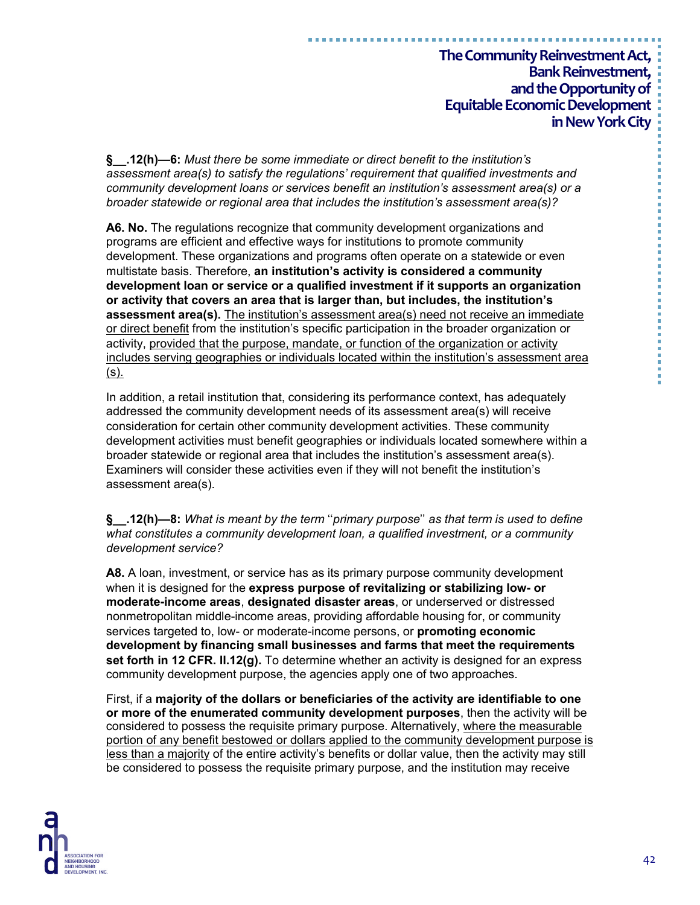**§\_\_.12(h)—6:** *Must there be some immediate or direct benefit to the institution's assessment area(s) to satisfy the regulations' requirement that qualified investments and community development loans or services benefit an institution's assessment area(s) or a broader statewide or regional area that includes the institution's assessment area(s)?*

**A6. No.** The regulations recognize that community development organizations and programs are efficient and effective ways for institutions to promote community development. These organizations and programs often operate on a statewide or even multistate basis. Therefore, **an institution's activity is considered a community development loan or service or a qualified investment if it supports an organization or activity that covers an area that is larger than, but includes, the institution's assessment area(s).** The institution's assessment area(s) need not receive an immediate or direct benefit from the institution's specific participation in the broader organization or activity, provided that the purpose, mandate, or function of the organization or activity includes serving geographies or individuals located within the institution's assessment area  $(s)$ .

In addition, a retail institution that, considering its performance context, has adequately addressed the community development needs of its assessment area(s) will receive consideration for certain other community development activities. These community development activities must benefit geographies or individuals located somewhere within a broader statewide or regional area that includes the institution's assessment area(s). Examiners will consider these activities even if they will not benefit the institution's assessment area(s).

**§\_\_.12(h)—8:** *What is meant by the term* ''*primary purpose*'' *as that term is used to define what constitutes a community development loan, a qualified investment, or a community development service?*

**A8.** A loan, investment, or service has as its primary purpose community development when it is designed for the **express purpose of revitalizing or stabilizing low- or moderate-income areas**, **designated disaster areas**, or underserved or distressed nonmetropolitan middle-income areas, providing affordable housing for, or community services targeted to, low- or moderate-income persons, or **promoting economic development by financing small businesses and farms that meet the requirements set forth in 12 CFR. ll.12(g).** To determine whether an activity is designed for an express community development purpose, the agencies apply one of two approaches.

First, if a **majority of the dollars or beneficiaries of the activity are identifiable to one or more of the enumerated community development purposes**, then the activity will be considered to possess the requisite primary purpose. Alternatively, where the measurable portion of any benefit bestowed or dollars applied to the community development purpose is less than a majority of the entire activity's benefits or dollar value, then the activity may still be considered to possess the requisite primary purpose, and the institution may receive



医血管性 医血管性血管 医血管血管 医血管血管 医血管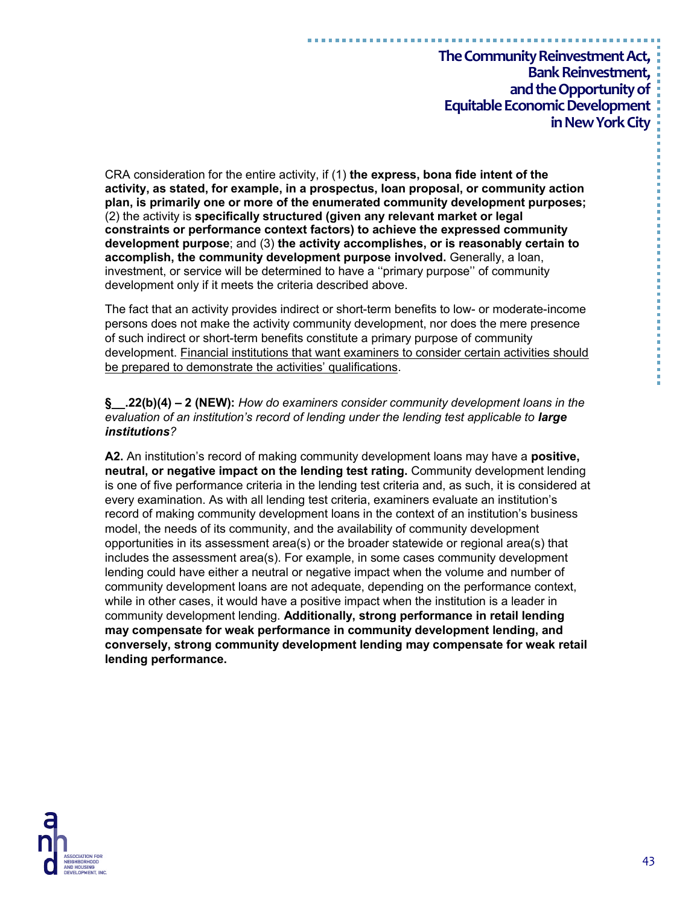CRA consideration for the entire activity, if (1) **the express, bona fide intent of the activity, as stated, for example, in a prospectus, loan proposal, or community action plan, is primarily one or more of the enumerated community development purposes;** (2) the activity is **specifically structured (given any relevant market or legal constraints or performance context factors) to achieve the expressed community development purpose**; and (3) **the activity accomplishes, or is reasonably certain to accomplish, the community development purpose involved.** Generally, a loan, investment, or service will be determined to have a ''primary purpose'' of community development only if it meets the criteria described above.

The fact that an activity provides indirect or short-term benefits to low- or moderate-income persons does not make the activity community development, nor does the mere presence of such indirect or short-term benefits constitute a primary purpose of community development. Financial institutions that want examiners to consider certain activities should be prepared to demonstrate the activities' qualifications.

**§\_\_.22(b)(4) – 2 (NEW):** *How do examiners consider community development loans in the evaluation of an institution's record of lending under the lending test applicable to large institutions?* 

**A2.** An institution's record of making community development loans may have a **positive, neutral, or negative impact on the lending test rating.** Community development lending is one of five performance criteria in the lending test criteria and, as such, it is considered at every examination. As with all lending test criteria, examiners evaluate an institution's record of making community development loans in the context of an institution's business model, the needs of its community, and the availability of community development opportunities in its assessment area(s) or the broader statewide or regional area(s) that includes the assessment area(s). For example, in some cases community development lending could have either a neutral or negative impact when the volume and number of community development loans are not adequate, depending on the performance context, while in other cases, it would have a positive impact when the institution is a leader in community development lending. **Additionally, strong performance in retail lending may compensate for weak performance in community development lending, and conversely, strong community development lending may compensate for weak retail lending performance.**

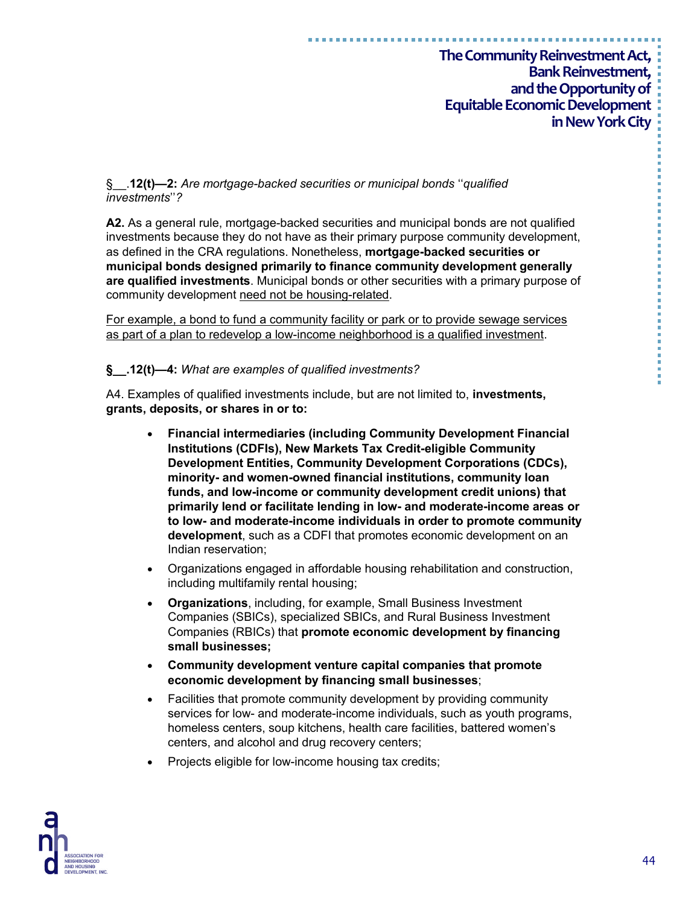#### §\_\_.**12(t)—2:** *Are mortgage-backed securities or municipal bonds* ''*qualified investments*''*?*

**A2.** As a general rule, mortgage-backed securities and municipal bonds are not qualified investments because they do not have as their primary purpose community development, as defined in the CRA regulations. Nonetheless, **mortgage-backed securities or municipal bonds designed primarily to finance community development generally are qualified investments**. Municipal bonds or other securities with a primary purpose of community development need not be housing-related.

For example, a bond to fund a community facility or park or to provide sewage services as part of a plan to redevelop a low-income neighborhood is a qualified investment.

#### **§\_\_.12(t)—4:** *What are examples of qualified investments?*

A4. Examples of qualified investments include, but are not limited to, **investments, grants, deposits, or shares in or to:**

- **Financial intermediaries (including Community Development Financial Institutions (CDFIs), New Markets Tax Credit-eligible Community Development Entities, Community Development Corporations (CDCs), minority- and women-owned financial institutions, community loan funds, and low-income or community development credit unions) that primarily lend or facilitate lending in low- and moderate-income areas or to low- and moderate-income individuals in order to promote community development**, such as a CDFI that promotes economic development on an Indian reservation;
- Organizations engaged in affordable housing rehabilitation and construction, including multifamily rental housing;
- **Organizations**, including, for example, Small Business Investment Companies (SBICs), specialized SBICs, and Rural Business Investment Companies (RBICs) that **promote economic development by financing small businesses;**
- **Community development venture capital companies that promote economic development by financing small businesses**;
- Facilities that promote community development by providing community services for low- and moderate-income individuals, such as youth programs, homeless centers, soup kitchens, health care facilities, battered women's centers, and alcohol and drug recovery centers;
- Projects eligible for low-income housing tax credits;

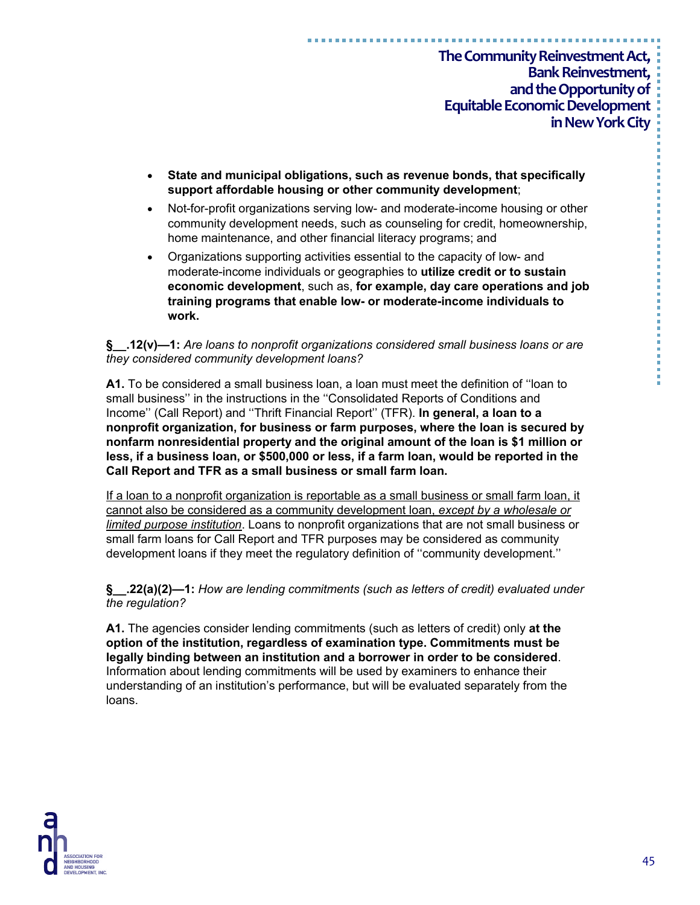- **State and municipal obligations, such as revenue bonds, that specifically support affordable housing or other community development**;
- Not-for-profit organizations serving low- and moderate-income housing or other community development needs, such as counseling for credit, homeownership, home maintenance, and other financial literacy programs; and
- Organizations supporting activities essential to the capacity of low- and moderate-income individuals or geographies to **utilize credit or to sustain economic development**, such as, **for example, day care operations and job training programs that enable low- or moderate-income individuals to work.**

#### **§\_\_.12(v)—1:** *Are loans to nonprofit organizations considered small business loans or are they considered community development loans?*

**A1.** To be considered a small business loan, a loan must meet the definition of ''loan to small business'' in the instructions in the ''Consolidated Reports of Conditions and Income'' (Call Report) and ''Thrift Financial Report'' (TFR). **In general, a loan to a nonprofit organization, for business or farm purposes, where the loan is secured by nonfarm nonresidential property and the original amount of the loan is \$1 million or less, if a business loan, or \$500,000 or less, if a farm loan, would be reported in the Call Report and TFR as a small business or small farm loan.**

If a loan to a nonprofit organization is reportable as a small business or small farm loan, it cannot also be considered as a community development loan, *except by a wholesale or limited purpose institution*. Loans to nonprofit organizations that are not small business or small farm loans for Call Report and TFR purposes may be considered as community development loans if they meet the regulatory definition of ''community development.''

**§\_\_.22(a)(2)—1:** *How are lending commitments (such as letters of credit) evaluated under the regulation?*

**A1.** The agencies consider lending commitments (such as letters of credit) only **at the option of the institution, regardless of examination type. Commitments must be legally binding between an institution and a borrower in order to be considered**. Information about lending commitments will be used by examiners to enhance their understanding of an institution's performance, but will be evaluated separately from the loans.



45